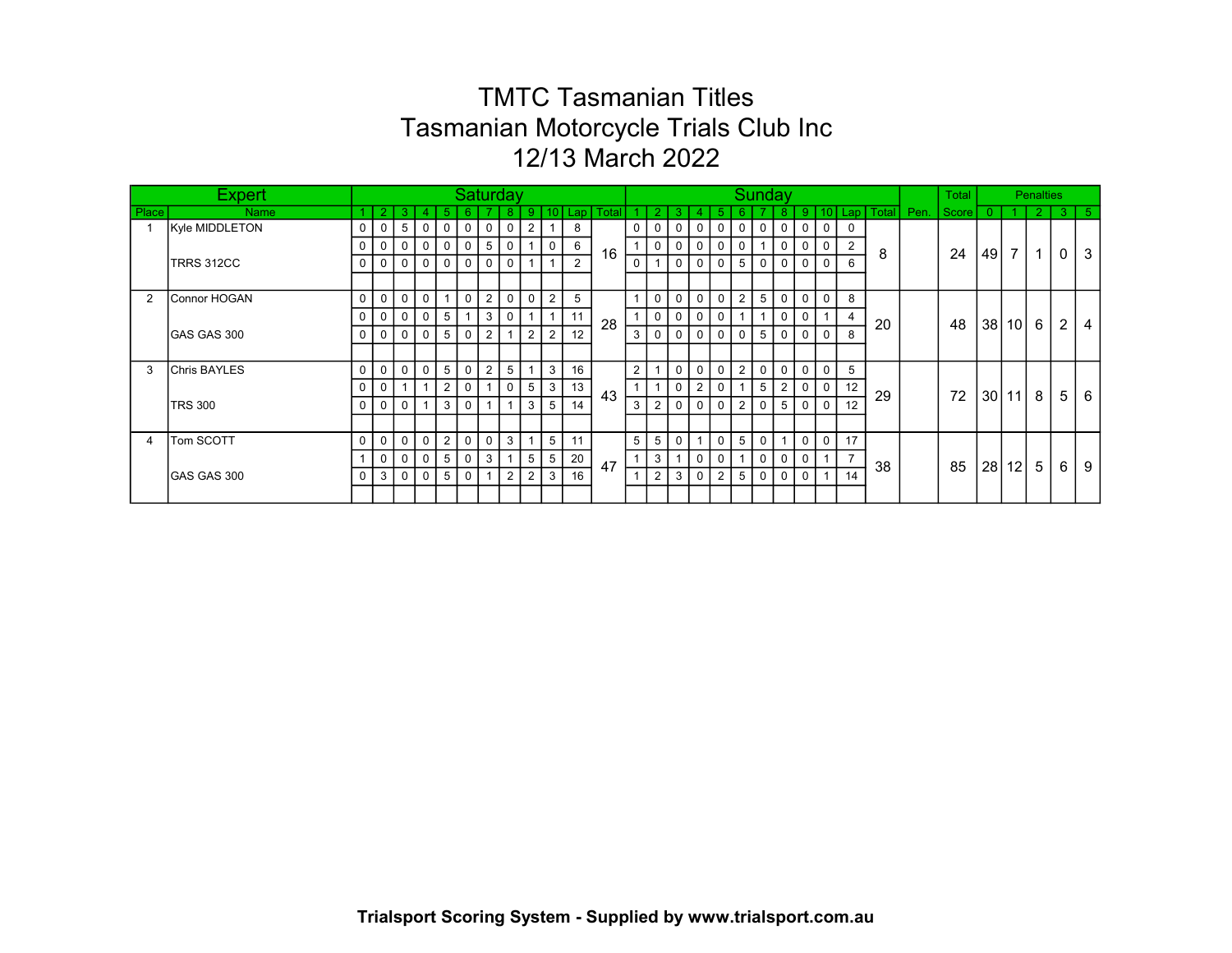|       | <b>Expert</b>       |             |             |                 |                |                | Saturday       |                |                |                |                         |                |       |                 |                |                |              |                |                | Sunday       |                |                |                 |          |             |      | Total |                 |                | <b>Penalties</b> |                |      |
|-------|---------------------|-------------|-------------|-----------------|----------------|----------------|----------------|----------------|----------------|----------------|-------------------------|----------------|-------|-----------------|----------------|----------------|--------------|----------------|----------------|--------------|----------------|----------------|-----------------|----------|-------------|------|-------|-----------------|----------------|------------------|----------------|------|
| Place | <b>Name</b>         |             |             | -3              |                |                |                |                |                | 9              | 10 <sup>°</sup>         | Lap            | Total |                 |                |                |              |                |                |              |                | 9              | 10 <sup>1</sup> |          | Lap   Total | Pen. | Score | $\Omega$        |                | $\overline{2}$   | -3             | I 5. |
|       | Kyle MIDDLETON      | 0           | 0           | $5\overline{5}$ | $\overline{0}$ | $\mathbf 0$    | $\overline{0}$ | $\mathbf{0}$   | $\mathbf 0$    | $\overline{2}$ | $\overline{\mathbf{1}}$ | 8              |       | 0               | 0              | $\mathbf 0$    | $\mathbf 0$  | $\mathbf 0$    | $\overline{0}$ | $\mathbf 0$  | $\overline{0}$ | $\mathbf 0$    | $\mathbf 0$     | $\Omega$ |             |      |       |                 |                |                  |                |      |
|       |                     | 0           | 0           | $\mathbf{0}$    | $\overline{0}$ | 0              | $\overline{0}$ | 5              | $\mathbf 0$    |                | 0                       | 6              | 16    |                 | $\overline{0}$ | $\mathbf 0$    | $\mathbf 0$  | 0              | 0 <sup>1</sup> |              | 0              | 0              | 0               | 2        | 8           |      | 24    | 49              | 7 <sup>1</sup> | $\mathbf{1}$     | 0              | 3    |
|       | TRRS 312CC          | 0           | 0           | $\mathbf 0$     | $\overline{0}$ | $\mathbf 0$    | $\overline{0}$ | 0              | $\mathbf 0$    | $\mathbf 1$    | $\overline{\mathbf{1}}$ | $\overline{2}$ |       | $\mathbf 0$     |                | $\mathbf 0$    | 0            | 0              | 5 <sup>1</sup> | 0            | 0              | 0              | 0               | 6        |             |      |       |                 |                |                  |                |      |
|       |                     |             |             |                 |                |                |                |                |                |                |                         |                |       |                 |                |                |              |                |                |              |                |                |                 |          |             |      |       |                 |                |                  |                |      |
| 2     | Connor HOGAN        | $\mathbf 0$ | 0           | $\mathbf 0$     | $\overline{0}$ |                | 0 <sup>1</sup> | 2              | $\overline{0}$ | 0              | $\overline{2}$          | 5              |       |                 | $\overline{0}$ | $\overline{0}$ | $\mathbf 0$  | $\mathbf 0$    | 2 <sup>1</sup> | 5            | $\mathbf 0$    | $\mathbf 0$    | $\mathbf 0$     | 8        |             |      |       |                 |                |                  |                |      |
|       |                     | $\mathbf 0$ | 0           | 0               | 0              | 5              |                | 3              | $\mathbf 0$    |                | $\overline{1}$          | 11             |       |                 | $\mathbf 0$    | 0              | $\mathbf 0$  | $\mathbf 0$    |                |              | $\mathbf 0$    | 0              |                 | 4        |             |      |       |                 |                |                  |                |      |
|       | GAS GAS 300         | $\Omega$    | 0           | $\mathbf 0$     | $\mathbf 0$    | 5              | 0 <sup>1</sup> | $\overline{2}$ | $\mathbf{1}$   | 2              | $\overline{2}$          | 12             | 28    | 3               | $\Omega$       | $\Omega$       | $\Omega$     | $\Omega$       | $\Omega$       | 5            | $\mathbf 0$    | $\Omega$       | $\mathbf{0}$    | 8        | 20          |      | 48    | 38 <sup>1</sup> | $10$ 6         |                  | $\overline{2}$ | 4    |
|       |                     |             |             |                 |                |                |                |                |                |                |                         |                |       |                 |                |                |              |                |                |              |                |                |                 |          |             |      |       |                 |                |                  |                |      |
| 3     | <b>Chris BAYLES</b> | 0           | 0           | $\mathbf 0$     | $\mathbf 0$    | 5              | 0 <sup>1</sup> | $\overline{2}$ | 5              |                | 3                       | 16             |       | $\overline{2}$  |                | $\mathbf 0$    | 0            | $\mathbf 0$    | 2 <sup>1</sup> | $\mathbf 0$  | $\mathbf 0$    | 0              | $\mathbf 0$     | 5        |             |      |       |                 |                |                  |                |      |
|       |                     | 0           | 0           |                 |                | $\overline{2}$ | 0 <sup>1</sup> |                | $\mathbf{0}$   | 5              | 3                       | 13             |       |                 |                | $\mathbf 0$    | 2            | $\mathbf 0$    |                | 5            | $\overline{2}$ | 0              | $\mathbf 0$     | 12       |             |      |       |                 |                |                  |                |      |
|       | <b>TRS 300</b>      | 0           | $\mathbf 0$ | $\mathbf{0}$    | 1              | 3              | 0 <sup>1</sup> |                | $\mathbf{1}$   | 3              | 5                       | 14             | 43    | 3               | $\overline{2}$ | $\mathbf 0$    | $\mathbf 0$  | 0              | 2 <sup>1</sup> | $\mathbf{0}$ | 5              | 0              | $\Omega$        | 12       | 29          |      | 72    | 30 <sup>1</sup> | $11 \vert 8$   |                  | 5              | 6    |
|       |                     |             |             |                 |                |                |                |                |                |                |                         |                |       |                 |                |                |              |                |                |              |                |                |                 |          |             |      |       |                 |                |                  |                |      |
| 4     | Tom SCOTT           | 0           | $\mathbf 0$ | $\overline{0}$  | $\overline{0}$ | $\overline{2}$ | $\circ$        | $\mathbf 0$    | $\mathbf{3}$   |                | 5                       | 11             |       | $5\overline{)}$ | 5 <sup>5</sup> | $\mathbf 0$    | $\mathbf{1}$ | $\mathbf 0$    | 5 <sup>1</sup> | $\mathbf 0$  | $\mathbf{1}$   | $\mathbf 0$    | $\overline{0}$  | 17       |             |      |       |                 |                |                  |                |      |
|       |                     |             | 0           | $\overline{0}$  | $\overline{0}$ | 5              | 0 <sup>1</sup> | 3              | $\mathbf{1}$   | 5              | 5                       | 20             |       |                 | $\mathbf{3}$   |                | 0            | 0              |                | 0            | $\mathbf 0$    | $\mathbf 0$    |                 |          |             |      |       |                 |                |                  |                |      |
|       | GAS GAS 300         | 0           | 3           | $\overline{0}$  | $\overline{0}$ | 5              | $\overline{0}$ |                | 2              | 2              | -3                      | 16             | 47    |                 | $\overline{2}$ | 3              | $\mathbf 0$  | $\overline{2}$ | 5 <sup>1</sup> | $\mathbf 0$  | $\mathbf 0$    | $\overline{0}$ |                 | 14       | 38          |      | 85    | 28 <sub>l</sub> | 12 I           | -5               | 6              | 9    |
|       |                     |             |             |                 |                |                |                |                |                |                |                         |                |       |                 |                |                |              |                |                |              |                |                |                 |          |             |      |       |                 |                |                  |                |      |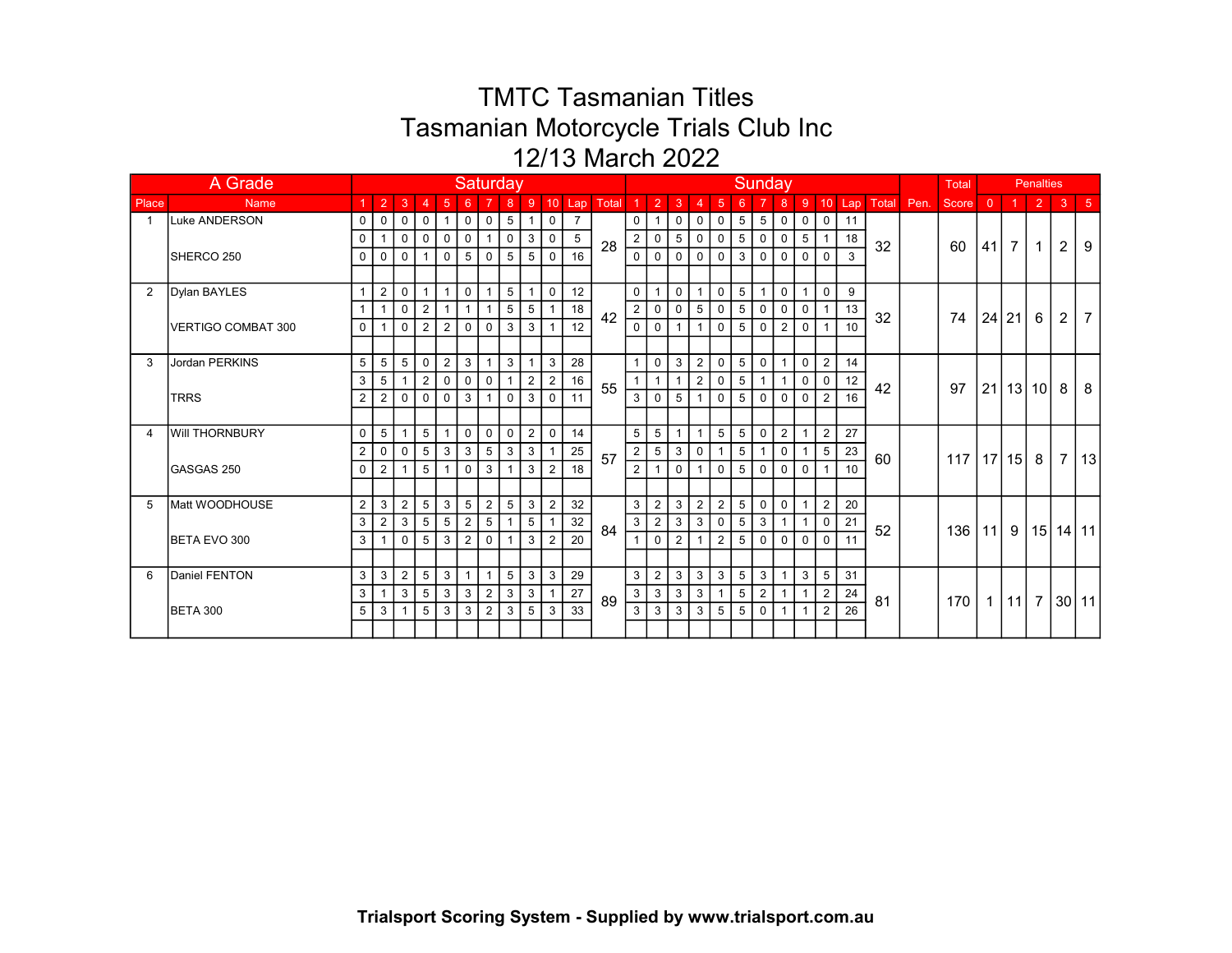|                | A Grade               | <b>Saturday</b><br>$8 \mid 9$ |                |                 |                 |                |                |                |                 |                |                |                 |       |                |                 |                 | Sunday         |                |                |                 |                |                |                | Total  |       |      | <b>Penalties</b> |                |                |              |                |                      |
|----------------|-----------------------|-------------------------------|----------------|-----------------|-----------------|----------------|----------------|----------------|-----------------|----------------|----------------|-----------------|-------|----------------|-----------------|-----------------|----------------|----------------|----------------|-----------------|----------------|----------------|----------------|--------|-------|------|------------------|----------------|----------------|--------------|----------------|----------------------|
| Place          | <b>Name</b>           |                               | $\overline{2}$ | 3               | 4               | $\sqrt{5}$     | 6              | $\overline{7}$ |                 |                |                | $10$ Lap        | Total |                | $\overline{2}$  | 3               | 4              | $\sqrt{5}$     | 6              | 7               | 8              | 9              |                | 10 Lap | Total | Pen. | Score            | $\overline{0}$ |                | $\sqrt{2}$   | $\overline{3}$ | $\vert 5$            |
| $\overline{1}$ | Luke ANDERSON         | 0                             | $\mathbf 0$    | $\mathbf 0$     | $\mathbf 0$     | $\mathbf{1}$   | $\circ$        | $\mathbf 0$    | $5\phantom{.0}$ | $\mathbf{1}$   | 0              | $\overline{7}$  |       | 0              |                 | $\mathbf 0$     | $\mathbf 0$    | 0              | $5 \mid$       | $5\phantom{.0}$ | $\mathbf 0$    | $\mathbf 0$    | $\mathbf 0$    | 11     |       |      |                  |                |                |              |                |                      |
|                |                       | $\Omega$                      |                | $\overline{0}$  | $\overline{0}$  | $\mathbf 0$    | 0 <sup>1</sup> | $\mathbf{1}$   | $\mathbf 0$     | 3              | 0              | $5\phantom{.0}$ | 28    | $\mathbf{2}$   | $\mathbf 0$     | $5\phantom{.0}$ | $\mathbf 0$    | $\mathbf 0$    | 5 <sup>1</sup> | $\mathbf 0$     | $\mathbf 0$    | 5              | 1              | 18     | 32    |      | 60               | 41             | 7 <sup>1</sup> | $\mathbf{1}$ | $\overline{2}$ | 9                    |
|                | SHERCO 250            | $\Omega$                      | $\mathbf 0$    | $\mathbf 0$     | $\mathbf{1}$    | $\mathbf 0$    | 5 <sup>1</sup> | $\mathbf 0$    | 5               | 5              | $\mathbf 0$    | 16              |       | $\mathbf 0$    | $\Omega$        | $\mathbf 0$     | $\mathbf 0$    | $\mathbf 0$    | 3 <sup>1</sup> | $\mathbf 0$     | $\mathbf 0$    | $\Omega$       | $\Omega$       | 3      |       |      |                  |                |                |              |                |                      |
|                |                       |                               |                |                 |                 |                |                |                |                 |                |                |                 |       |                |                 |                 |                |                |                |                 |                |                |                |        |       |      |                  |                |                |              |                |                      |
| $\overline{2}$ | Dylan BAYLES          |                               | $\overline{2}$ | $\mathbf 0$     | $\overline{1}$  |                | $\mathbf{0}$   |                | 5               |                | $\mathbf 0$    | 12              |       | $\mathbf{0}$   |                 | $\mathbf{0}$    | $\mathbf{1}$   | $\mathbf 0$    | 5 <sup>1</sup> |                 | $\mathbf 0$    |                | $\Omega$       | 9      |       |      |                  |                |                |              |                |                      |
|                |                       |                               |                | $\mathbf 0$     | $\overline{2}$  |                | 1 <sup>1</sup> | $\mathbf{1}$   | 5               | 5              | $\overline{1}$ | 18              | 42    | $\overline{2}$ | $\mathbf 0$     | $\mathbf 0$     | 5              | $\mathbf 0$    | 5 <sup>1</sup> | $\mathbf 0$     | $\mathbf 0$    | $\mathbf 0$    | $\overline{1}$ | 13     | 32    |      | 74               |                | 24 21          | 6            | $\overline{2}$ | $\overline{7}$       |
|                | VERTIGO COMBAT 300    | $\mathbf 0$                   |                | $\Omega$        | $\overline{2}$  | $\overline{2}$ | $\circ$ 1      | $\mathbf 0$    | 3               | 3              | $\overline{1}$ | 12              |       | $\mathbf 0$    | $\Omega$        |                 | $\mathbf{1}$   | $\Omega$       | 5 <sup>1</sup> | $\mathbf 0$     | $\overline{2}$ | $\mathbf 0$    | $\overline{1}$ | 10     |       |      |                  |                |                |              |                |                      |
|                |                       |                               |                |                 |                 |                |                |                |                 |                |                |                 |       |                |                 |                 |                |                |                |                 |                |                |                |        |       |      |                  |                |                |              |                |                      |
| 3              | <b>Jordan PERKINS</b> | 5                             | 5              | $5\overline{)}$ | $\mathbf 0$     | $\overline{2}$ | 3 <sup>1</sup> | $\mathbf{1}$   | 3               |                | 3              | 28              |       |                | $\mathbf 0$     | $\mathbf{3}$    | $\overline{2}$ | $\mathbf 0$    | 5 <sup>1</sup> | $\mathbf 0$     | $\overline{1}$ | $\mathbf 0$    | $\overline{2}$ | 14     |       |      |                  |                |                |              |                |                      |
|                |                       | 3                             | 5              |                 | $\overline{2}$  | 0              | 0 <sup>1</sup> | 0              | $\mathbf{1}$    | $\overline{2}$ | $\overline{2}$ | 16              | 55    |                |                 |                 | $\overline{2}$ | 0              | 5 <sup>5</sup> |                 | $\mathbf{1}$   | 0              | 0              | 12     | 42    |      | 97               |                | $21$   13   10 |              | 8              | 8                    |
|                | <b>TRRS</b>           | 2                             | 2              | $\mathbf{0}$    | $\mathbf{0}$    | $\Omega$       | 3              |                | $\Omega$        | 3              | $\Omega$       | 11              |       | 3              | $\Omega$        | 5               |                | $\Omega$       | 5 <sup>1</sup> | $\Omega$        | $\Omega$       |                | $\overline{2}$ | 16     |       |      |                  |                |                |              |                |                      |
|                |                       |                               |                |                 |                 |                |                |                |                 |                |                |                 |       |                |                 |                 |                |                |                |                 |                |                |                |        |       |      |                  |                |                |              |                |                      |
| 4              | <b>Will THORNBURY</b> | $\Omega$                      | 5              |                 | $5\overline{)}$ | $\overline{1}$ | $\circ$ 1      | $\mathbf 0$    | $\mathbf 0$     | $\overline{2}$ | $\mathbf 0$    | 14              |       | 5              | $5\overline{5}$ | $\mathbf{1}$    | $\mathbf{1}$   | 5              | 5 <sup>1</sup> | $\mathbf 0$     | 2              |                | $\overline{2}$ | 27     |       |      |                  |                |                |              |                |                      |
|                |                       | $\overline{2}$                | $\mathbf 0$    | $\overline{0}$  | $5\phantom{.0}$ | 3              | 3 <sup>1</sup> | 5              | $\mathbf{3}$    | 3              |                | 25              | 57    | 2              | $5\overline{)}$ | $\mathbf{3}$    | $\mathbf 0$    | $\overline{1}$ | 5              | $\mathbf{1}$    | $\mathbf 0$    | $\overline{1}$ | 5              | 23     | 60    |      | 117              |                | 17 15 8        |              | $\overline{7}$ | 13                   |
|                | GASGAS 250            | $\Omega$                      | 2              |                 | $5\overline{)}$ |                | $\circ$ 1      | 3              | $\mathbf{1}$    | 3              | $\overline{2}$ | 18              |       | $\overline{2}$ |                 | $\Omega$        | $\mathbf{1}$   | $\mathbf 0$    | 5 <sup>1</sup> | $\mathbf 0$     | $\overline{0}$ | $\mathbf 0$    | $\mathbf{1}$   | 10     |       |      |                  |                |                |              |                |                      |
|                |                       |                               |                |                 |                 |                |                |                |                 |                |                |                 |       |                |                 |                 |                |                |                |                 |                |                |                |        |       |      |                  |                |                |              |                |                      |
| 5              | Matt WOODHOUSE        | $\overline{2}$                | 3              | $\overline{2}$  | 5               | 3              | 5 <sup>1</sup> | $\overline{2}$ | 5               | 3              | $\overline{2}$ | 32              |       | 3              | $\overline{2}$  | 3               | $\overline{2}$ | 2              | 5 <sup>5</sup> | $\mathbf 0$     | $\mathbf 0$    |                | $\overline{2}$ | 20     |       |      |                  |                |                |              |                |                      |
|                |                       | 3                             | 2              | 3               | 5               | 5              | 2              | 5              | $\mathbf{1}$    | 5              | $\overline{1}$ | 32              | 84    | 3              | $\overline{2}$  | 3               | 3              | $\mathbf 0$    | 5 <sup>1</sup> | 3               |                |                | $\mathbf 0$    | 21     | 52    |      | 136              | 11             |                |              |                | 9   15   14   11     |
|                | BETA EVO 300          | 3                             |                | $\Omega$        | 5               | 3              | 2 <sup>1</sup> | $\mathbf 0$    | $\mathbf{1}$    | 3              | $\overline{2}$ | 20              |       |                | $\Omega$        | 2               |                | $\overline{2}$ | 5 <sup>1</sup> | $\mathbf{0}$    | $\Omega$       | $\Omega$       | $\Omega$       | 11     |       |      |                  |                |                |              |                |                      |
|                |                       |                               |                |                 |                 |                |                |                |                 |                |                |                 |       |                |                 |                 |                |                |                |                 |                |                |                |        |       |      |                  |                |                |              |                |                      |
| 6              | Daniel FENTON         | 3                             | 3              | $\overline{2}$  | $5\phantom{.0}$ | 3              | 1 <sup>1</sup> | $\overline{1}$ | $5\phantom{.0}$ | 3              | 3              | 29              |       | 3              | $\overline{2}$  | 3               | 3              | 3              | 5 <sup>5</sup> | $\mathbf{3}$    | $\mathbf{1}$   | 3              | 5              | 31     |       |      |                  |                |                |              |                |                      |
|                |                       | 3                             |                | $\mathbf{3}$    | $5\phantom{.0}$ | 3              | 3 <sup>1</sup> | $\overline{2}$ | 3               | 3              |                | 27              | 89    | $\mathbf{3}$   | $\mathbf{3}$    | $\mathbf{3}$    | $\mathbf{3}$   | $\overline{1}$ | 5 <sup>1</sup> | $\overline{2}$  | $\mathbf{1}$   |                | $\overline{2}$ | 24     | 81    |      | 170 l            |                |                |              |                | 1   11   7   30   11 |
|                | <b>BETA 300</b>       | 5                             | 3              |                 | 5               | 3              | 3 <sup>1</sup> | $\overline{2}$ | 3               | 5              | 3              | 33              |       | 3              | 3               | 3               | 3              | 5              | 5 <sup>5</sup> | $\mathbf 0$     | $\overline{1}$ |                | 2              | 26     |       |      |                  |                |                |              |                |                      |
|                |                       |                               |                |                 |                 |                |                |                |                 |                |                |                 |       |                |                 |                 |                |                |                |                 |                |                |                |        |       |      |                  |                |                |              |                |                      |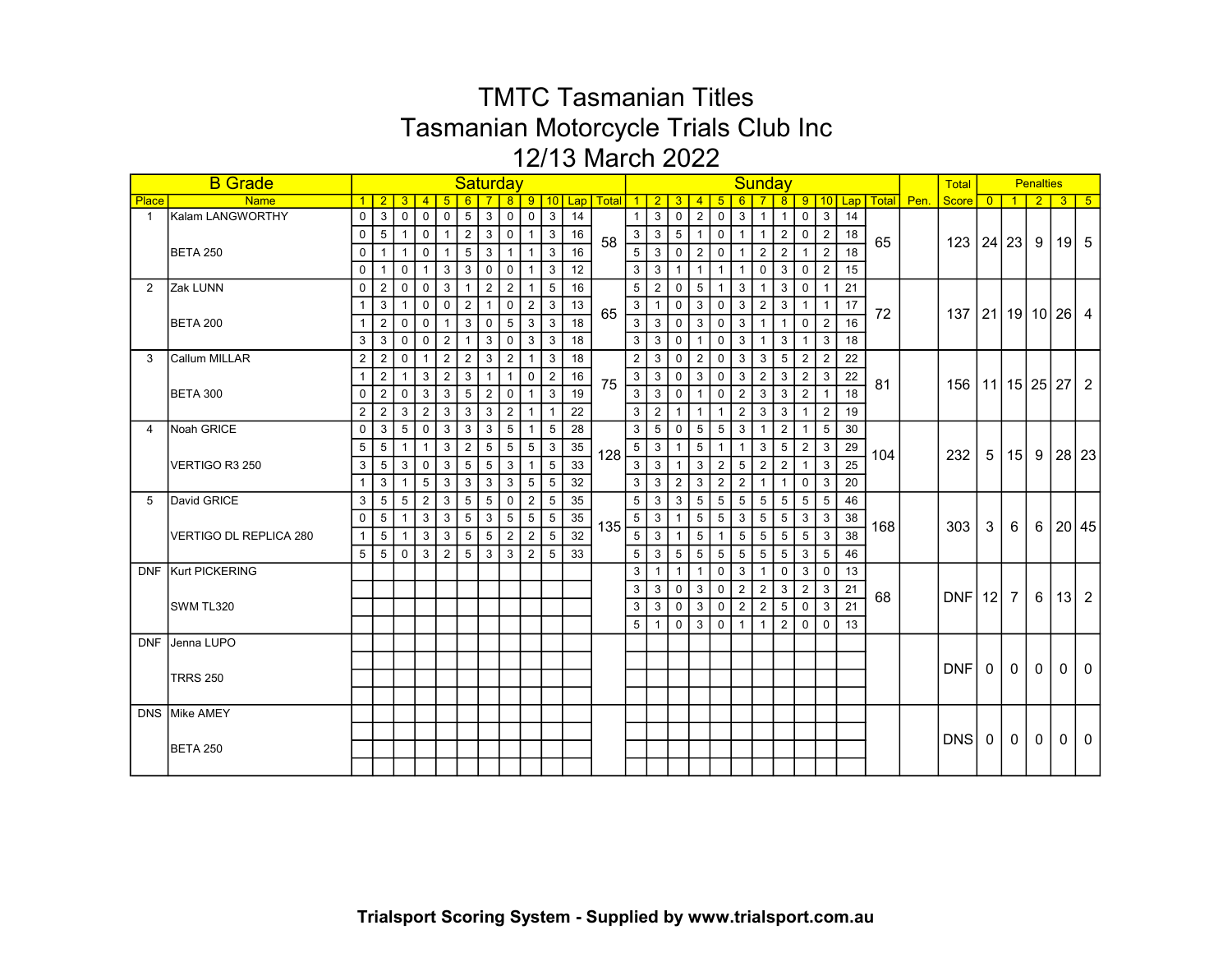|              | <b>B</b> Grade         |                |                 |                 |                 |                |                | <b>Saturday</b> |                 |                |                |    |                |                 |                 |                 |                 |                 |                | Sunday          |                 |                 |                |    |     |                   | <b>Total</b>                 |                |                   | <b>Penalties</b> |                    |                |
|--------------|------------------------|----------------|-----------------|-----------------|-----------------|----------------|----------------|-----------------|-----------------|----------------|----------------|----|----------------|-----------------|-----------------|-----------------|-----------------|-----------------|----------------|-----------------|-----------------|-----------------|----------------|----|-----|-------------------|------------------------------|----------------|-------------------|------------------|--------------------|----------------|
| Place        | <b>Name</b>            | 1 <sup>1</sup> | 2 <sup>1</sup>  | $\overline{3}$  | $\overline{4}$  | -5             | 6              |                 | 8 <sup>1</sup>  |                |                |    | 9 10 Lap Total |                 | $1\vert 2$      | 3 <sup>2</sup>  | $\overline{4}$  | -5              | 6              |                 | 8               | 9               |                |    |     | 10 Lap Total Pen. | Score                        | $\overline{0}$ |                   |                  | 3                  | 5 <sub>5</sub> |
| $\mathbf{1}$ | Kalam LANGWORTHY       | $\mathbf 0$    | 3               | $\mathbf 0$     | $\mathbf 0$     | $\mathbf 0$    | 5 <sup>1</sup> | $\mathbf{3}$    | $\mathbf 0$     | $\mathbf 0$    | 3              | 14 |                | 1 <sup>1</sup>  | 3               | $\mathbf 0$     | $\overline{2}$  | $\mathbf 0$     | 3              | $\overline{1}$  | $\mathbf{1}$    | $\mathbf{0}$    | 3              | 14 |     |                   |                              |                |                   |                  |                    |                |
|              |                        | $\mathbf{0}$   | 5 <sup>1</sup>  | $\overline{1}$  | $\mathbf 0$     | $\overline{1}$ |                | 2 3             | $\mathsf 0$     | $\overline{1}$ | $\mathbf{3}$   | 16 | 58             |                 | $3 \mid 3$      | $5\phantom{.0}$ | $\overline{1}$  | $\mathbf 0$     |                | $1$   $1$       | $\overline{2}$  | $\overline{0}$  | $\overline{2}$ | 18 | 65  |                   | $123 \mid 24 \mid 23 \mid 9$ |                |                   |                  | $\vert 19 \vert 5$ |                |
|              | <b>BETA 250</b>        | $\overline{0}$ | 1 <sup>1</sup>  | $\overline{1}$  | $\overline{0}$  | $\overline{1}$ |                | $5 \mid 3$      | $\overline{1}$  | $\mathbf{1}$   | 3              | 16 |                | 5               | $\mathbf{3}$    | $\mathbf{0}$    | $\overline{2}$  | $\overline{0}$  | 1 <sup>1</sup> | $\overline{2}$  | $\overline{2}$  |                 | 2              | 18 |     |                   |                              |                |                   |                  |                    |                |
|              |                        | 0              | $\mathbf 1$     | $\mathbf 0$     | $\mathbf{1}$    | 3              | 3              | $\mathbf 0$     | 0               | $\mathbf{1}$   | 3              | 12 |                | 3 <sup>1</sup>  | 3               | $\mathbf{1}$    | $\mathbf{1}$    | $\overline{1}$  | $\mathbf{1}$   | $\mathbf 0$     | 3               | $\mathbf 0$     | 2              | 15 |     |                   |                              |                |                   |                  |                    |                |
| 2            | Zak LUNN               | $\Omega$       | $\overline{2}$  | $\mathbf 0$     | $\mathbf 0$     | 3              | $\mathbf{1}$   | $\overline{2}$  | $\overline{2}$  | $\mathbf{1}$   | 5              | 16 |                | $5\overline{)}$ | $\overline{2}$  | $\mathbf 0$     | 5               |                 | 3              | $\overline{1}$  | 3               | 0               |                | 21 |     |                   |                              |                |                   |                  |                    |                |
|              |                        |                | 3               | $\mathbf{1}$    | $\mathbf 0$     | $\mathbf 0$    | 2              | $\mathbf{1}$    | $\mathbf 0$     | $\overline{2}$ | 3              | 13 |                | 3 <sup>1</sup>  | $\mathbf{1}$    | $\mathbf 0$     | $\mathbf{3}$    | $\overline{0}$  | 3              | $\overline{2}$  | $\mathbf{3}$    | $\overline{1}$  | $\mathbf{1}$   | 17 |     |                   |                              |                |                   |                  |                    |                |
|              | <b>BETA 200</b>        | $\mathbf{1}$   | 2               | $\mathbf 0$     | $\mathbf 0$     | $\overline{1}$ |                | 3 0             | $5\phantom{.0}$ | $\mathbf{3}$   | 3              | 18 | 65             | 3 <sup>1</sup>  | $\mathbf{3}$    | $\overline{0}$  | $\mathbf{3}$    | $\mathbf 0$     | 3 <sup>1</sup> | $\overline{1}$  | $\mathbf{1}$    | $\Omega$        | $\overline{2}$ | 16 | 72  |                   | 137   21   19   10   26   4  |                |                   |                  |                    |                |
|              |                        | 3 <sup>1</sup> | $3^{\circ}$     | $\mathbf 0$     | $\Omega$        | $\overline{2}$ | 1 <sup>1</sup> | 3               | $\mathbf 0$     | $\mathbf{3}$   | 3              | 18 |                | 3 <sup>1</sup>  | 3 <sup>1</sup>  | $\Omega$        | $\overline{1}$  | $\Omega$        | 3 <sup>1</sup> | $\mathbf{1}$    | $\mathbf{3}$    | $\mathbf{1}$    | 3              | 18 |     |                   |                              |                |                   |                  |                    |                |
| 3            | Callum MILLAR          | $\overline{2}$ | $\overline{2}$  | $\Omega$        |                 | $\overline{2}$ | $\overline{2}$ | 3               | 2               |                | 3              | 18 |                | 2               | 3               | $\Omega$        | 2               | $\Omega$        | 3 <sup>1</sup> | 3               | 5               | 2               | 2              | 22 |     |                   |                              |                |                   |                  |                    |                |
|              |                        | $\mathbf{1}$   | $\overline{2}$  | $\mathbf{1}$    | 3               | $\overline{2}$ | 3 <sup>1</sup> | $\mathbf{1}$    | $\mathbf{1}$    | $\mathbf 0$    | $\overline{2}$ | 16 |                | 3               | 3               | $\mathbf 0$     | $\mathbf{3}$    | $\mathbf 0$     | 3 <sup>1</sup> | 2               | 3               | $\overline{2}$  | 3              | 22 |     |                   |                              |                |                   |                  |                    |                |
|              | <b>BETA 300</b>        | 0              | $\overline{2}$  | $\mathbf 0$     | $\mathbf{3}$    | 3              | 5 <sup>1</sup> | 2               | $\mathbf 0$     | $\mathbf{1}$   | 3              | 19 | 75             | 3 <sup>1</sup>  | $\mathbf{3}$    | $\mathbf{0}$    | $\overline{1}$  | $\mathbf 0$     | 2 <sup>1</sup> | $\mathbf{3}$    | $\mathbf{3}$    | $\overline{2}$  |                | 18 | 81  |                   | 156   11   15   25   27   2  |                |                   |                  |                    |                |
|              |                        | 2 <sup>1</sup> | 2               | $\mathbf{3}$    | $\overline{2}$  | $\mathbf{3}$   | 3              | $\mathbf{3}$    | $\overline{2}$  | $\mathbf{1}$   |                | 22 |                |                 | $3 \mid 2$      | $\mathbf{1}$    | $\overline{1}$  | $\overline{1}$  | 2 <sup>1</sup> | $\mathbf{3}$    | $\mathbf{3}$    | $\mathbf{1}$    | $\overline{2}$ | 19 |     |                   |                              |                |                   |                  |                    |                |
| 4            | Noah GRICE             | $\overline{0}$ | $\mathbf{3}$    | $5\overline{)}$ | $\overline{0}$  | 3              | 3 <sup>1</sup> | 3               | $5\phantom{.0}$ | $\mathbf{1}$   | 5              | 28 |                | 3 <sup>1</sup>  | $5\phantom{.0}$ | $\mathbf 0$     | 5               | 5               | 3 <sup>1</sup> | $\mathbf{1}$    | 2               | $\mathbf{1}$    | 5              | 30 |     |                   |                              |                |                   |                  |                    |                |
|              |                        | 5              | 5               | $\mathbf{1}$    | $\mathbf{1}$    | 3              | $\overline{2}$ | 5               | 5               | 5              | 3              | 35 |                | 5 <sup>1</sup>  | 3               | $\mathbf{1}$    | 5               | -1              | $\mathbf{1}$   | 3               | 5               | 2               | 3              | 29 |     |                   |                              |                |                   |                  |                    |                |
|              | VERTIGO R3 250         | 3              | 5               | $\mathbf{3}$    | $\overline{0}$  | 3              | 5 <sup>1</sup> | 5               | 3               | $\mathbf{1}$   | 5              | 33 | 128            | $\overline{3}$  | 3               | $\mathbf{1}$    | $\mathbf{3}$    | $\overline{2}$  | 5 <sup>1</sup> | $\overline{2}$  | 2               | $\mathbf{1}$    | 3              | 25 | 104 |                   | 232                          |                | 5 15 9            |                  | 28 23              |                |
|              |                        | $\mathbf{1}$   | 3               | $\overline{1}$  | $5\phantom{.0}$ | $\overline{3}$ | 3              | $\mathbf{3}$    | 3               | 5              | 5              | 32 |                | 3               | $\mathbf{3}$    | $\overline{2}$  | 3               | $\overline{2}$  | 2 <sup>1</sup> | $\overline{1}$  | $\mathbf{1}$    | $\mathbf{0}$    | 3              | 20 |     |                   |                              |                |                   |                  |                    |                |
| 5            | David GRICE            | 3 <sup>1</sup> |                 | $5 \mid 5$      | $\overline{2}$  | $\mathbf{3}$   | $\sqrt{5}$     | $5\overline{5}$ | $\mathbf 0$     | $\overline{2}$ | 5              | 35 |                | 5               | 3               | $\overline{3}$  | $5\phantom{.0}$ | $5\phantom{.0}$ |                | $5 \mid 5$      | $5\phantom{.0}$ | $5\phantom{.0}$ | 5              | 46 |     |                   |                              |                |                   |                  |                    |                |
|              |                        | $\mathbf 0$    | $5\overline{)}$ | $\mathbf{1}$    | 3               | $\mathbf{3}$   | 5 <sup>1</sup> | 3               | $5\phantom{.0}$ | 5 <sup>5</sup> | 5              | 35 |                |                 | $5 \mid 3$      | $\mathbf{1}$    | 5               | 5               | 3 <sup>1</sup> | $5\overline{)}$ | 5               | $\mathbf{3}$    | 3              | 38 |     |                   |                              |                |                   |                  |                    |                |
|              | VERTIGO DL REPLICA 280 | 1              | 5               |                 | 3               | $\mathbf{3}$   | 5 <sup>1</sup> | 5               | $\overline{2}$  | $\overline{2}$ | 5              | 32 | 135            | 5               | 3               | $\mathbf{1}$    | 5               |                 | 5              | 5               | 5               | 5               | 3              | 38 | 168 |                   | 303                          | $\mathbf{3}$   | 6                 |                  | 6 20 45            |                |
|              |                        | 5 <sup>1</sup> | $5^{\circ}$     | $\Omega$        | $\overline{3}$  | $\overline{2}$ | 5 <sub>1</sub> | $\mathbf{3}$    | 3               | 2              | 5              | 33 |                | 5 <sup>1</sup>  | $\mathbf{3}$    | 5               | 5               | 5               | 5 <sup>1</sup> | 5               | 5               | 3               | 5              | 46 |     |                   |                              |                |                   |                  |                    |                |
|              | DNF Kurt PICKERING     |                |                 |                 |                 |                |                |                 |                 |                |                |    |                | 3 <sup>1</sup>  | $\mathbf{1}$    | $\overline{1}$  | $\overline{1}$  | $\mathbf 0$     | 3              | $\overline{1}$  | $\overline{0}$  | $\mathbf{3}$    | $\Omega$       | 13 |     |                   |                              |                |                   |                  |                    |                |
|              |                        |                |                 |                 |                 |                |                |                 |                 |                |                |    |                | 3 <sup>1</sup>  | 3 <sup>1</sup>  | $\mathbf{0}$    | $\mathbf{3}$    | $\overline{0}$  | 2 <sup>1</sup> | 2               | $\mathbf{3}$    | 2 <sup>1</sup>  | 3              | 21 |     |                   |                              |                |                   |                  |                    |                |
|              | SWM TL320              |                |                 |                 |                 |                |                |                 |                 |                |                |    |                | 3 <sup>1</sup>  | 3               | $\mathbf 0$     | 3               | 0               | 2              | $\overline{2}$  | 5               | $\Omega$        | 3              | 21 | 68  |                   | $DNF$ 12                     |                | $\vert$ 7 $\vert$ |                  | 6   13   2         |                |
|              |                        |                |                 |                 |                 |                |                |                 |                 |                |                |    |                | 5 <sup>1</sup>  | $\mathbf{1}$    | $\Omega$        | 3               | $\mathbf 0$     | $\mathbf{1}$   | $\mathbf{1}$    | 2               | $\mathbf{0}$    | $\Omega$       | 13 |     |                   |                              |                |                   |                  |                    |                |
|              | DNF Jenna LUPO         |                |                 |                 |                 |                |                |                 |                 |                |                |    |                |                 |                 |                 |                 |                 |                |                 |                 |                 |                |    |     |                   |                              |                |                   |                  |                    |                |
|              |                        |                |                 |                 |                 |                |                |                 |                 |                |                |    |                |                 |                 |                 |                 |                 |                |                 |                 |                 |                |    |     |                   |                              |                |                   |                  |                    |                |
|              |                        |                |                 |                 |                 |                |                |                 |                 |                |                |    |                |                 |                 |                 |                 |                 |                |                 |                 |                 |                |    |     |                   | DNF                          | $\overline{0}$ | 0 <sup>1</sup>    | 0 <sup>1</sup>   | $\mathbf{0}$       | $\overline{0}$ |
|              | <b>TRRS 250</b>        |                |                 |                 |                 |                |                |                 |                 |                |                |    |                |                 |                 |                 |                 |                 |                |                 |                 |                 |                |    |     |                   |                              |                |                   |                  |                    |                |
|              |                        |                |                 |                 |                 |                |                |                 |                 |                |                |    |                |                 |                 |                 |                 |                 |                |                 |                 |                 |                |    |     |                   |                              |                |                   |                  |                    |                |
|              | DNS Mike AMEY          |                |                 |                 |                 |                |                |                 |                 |                |                |    |                |                 |                 |                 |                 |                 |                |                 |                 |                 |                |    |     |                   |                              |                |                   |                  |                    |                |
|              |                        |                |                 |                 |                 |                |                |                 |                 |                |                |    |                |                 |                 |                 |                 |                 |                |                 |                 |                 |                |    |     |                   | DNS                          | $\mathbf{0}$   | 0 <sup>1</sup>    | $\overline{0}$   | $\Omega$           | $\Omega$       |
|              | BETA 250               |                |                 |                 |                 |                |                |                 |                 |                |                |    |                |                 |                 |                 |                 |                 |                |                 |                 |                 |                |    |     |                   |                              |                |                   |                  |                    |                |
|              |                        |                |                 |                 |                 |                |                |                 |                 |                |                |    |                |                 |                 |                 |                 |                 |                |                 |                 |                 |                |    |     |                   |                              |                |                   |                  |                    |                |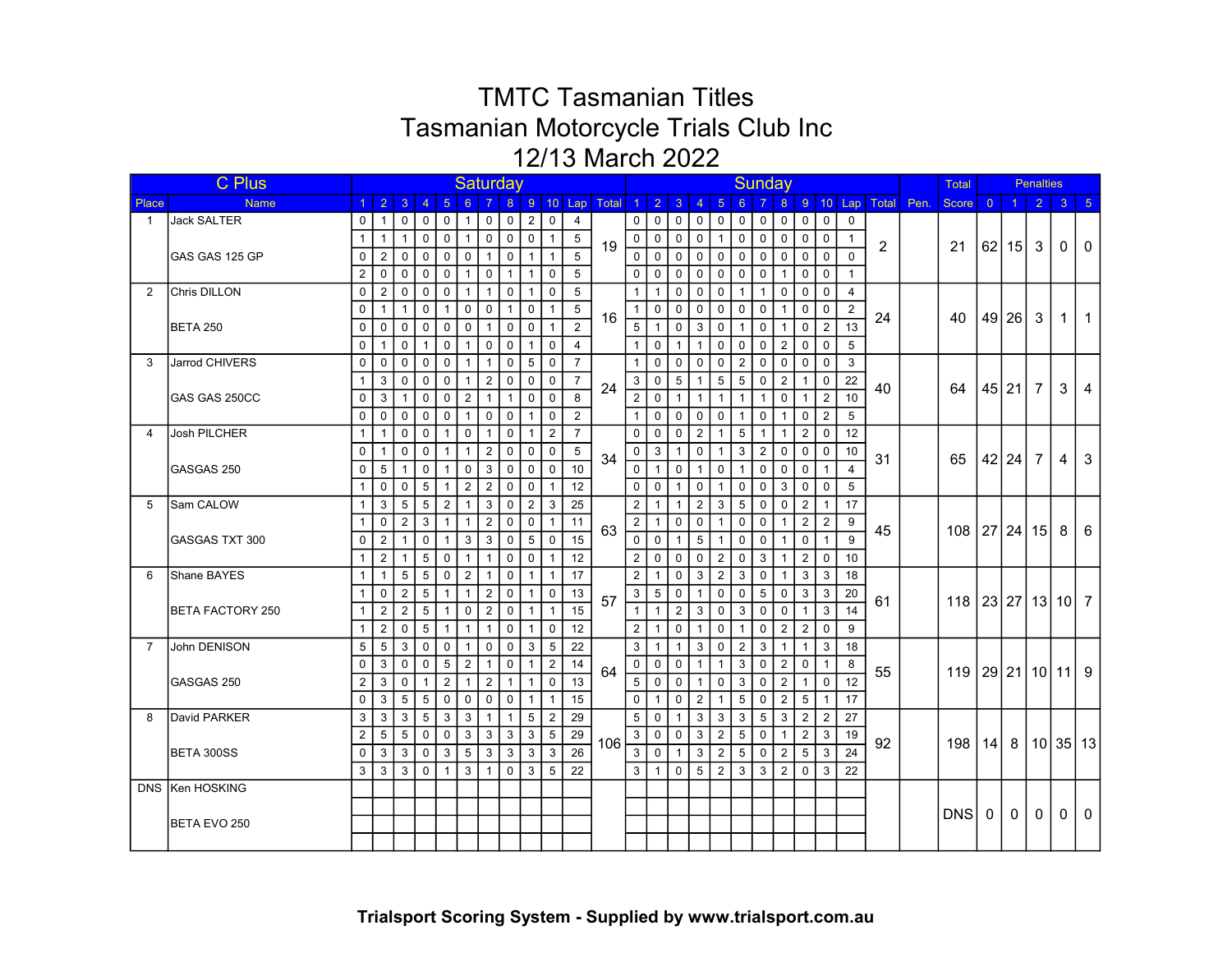|                | C Plus                |                |                 |                 |                |                |                |                | Saturday       |                |                |                 |                      |                |                            |                |                |                |                | Sunday         |                |                |                |                |                |      | Total             |                |                | <b>Penalties</b> |              |                |
|----------------|-----------------------|----------------|-----------------|-----------------|----------------|----------------|----------------|----------------|----------------|----------------|----------------|-----------------|----------------------|----------------|----------------------------|----------------|----------------|----------------|----------------|----------------|----------------|----------------|----------------|----------------|----------------|------|-------------------|----------------|----------------|------------------|--------------|----------------|
| Place          | <b>Name</b>           |                | $1 \mid 2 \mid$ | $\overline{3}$  | $\overline{4}$ | 5              | 6              |                | 8 <sup>°</sup> |                |                |                 | 9 10 Lap Total 1 2 3 |                |                            |                | $\overline{4}$ | -5             | $6^{\circ}$    |                | 8 <sup>°</sup> |                |                | 9 10 Lap       | Total          | Pen. | <b>Score</b>      | $\overline{0}$ | $\overline{1}$ | <sup>2</sup>     | $\mathbf{3}$ | $-5$           |
| $\mathbf{1}$   | <b>Jack SALTER</b>    | 0 <sup>1</sup> | $\mathbf{1}$    | $\Omega$        | $\mathbf 0$    | $\mathbf 0$    | $\mathbf{1}$   | $\mathbf 0$    | $\mathbf 0$    | $\overline{2}$ | $\mathbf 0$    | $\overline{4}$  |                      | $\circ$ 1      | $\mathbf 0$                | $\Omega$       | $\mathbf 0$    | $\mathbf 0$    | $\mathbf 0$    | $\mathbf 0$    | $\mathbf 0$    | $\mathbf 0$    | $\mathbf 0$    | $\Omega$       |                |      |                   |                |                |                  |              |                |
|                |                       | $\mathbf{1}$   | $\mathbf{1}$    | $\mathbf{1}$    | $\mathbf 0$    | $\mathbf 0$    | $\mathbf{1}$   | $\mathbf 0$    | $\mathbf 0$    | $\mathbf 0$    | $\mathbf{1}$   | 5               | 19                   | $\overline{0}$ | $\mathbf{0}$               | $\mathbf 0$    | $\mathbf 0$    | $\overline{1}$ | $\mathsf{O}$   | $\mathbf 0$    | $\mathbf 0$    | $\mathbf 0$    | $\mathbf 0$    | $\overline{1}$ | $\overline{2}$ |      | 21                |                | $62$   15      | $\mathbf{3}$     | $\mathbf{0}$ | $\Omega$       |
|                | IGAS GAS 125 GP       | 0 <sup>1</sup> | 2               | $\mathbf 0$     | $\mathbf 0$    | $\mathbf 0$    | $\mathbf{0}$   | $\overline{1}$ | $\mathbf 0$    | $\overline{1}$ | $\mathbf{1}$   | 5               |                      | $\circ$ 1      | $\mathbf 0$                | $\mathbf 0$    | $\mathbf 0$    | $\mathbf 0$    | $\mathbf 0$    | $\mathbf 0$    | $\mathbf 0$    | $\mathbf 0$    | $\Omega$       | $\Omega$       |                |      |                   |                |                |                  |              |                |
|                |                       | $\overline{2}$ | $\mathbf 0$     | $\mathbf 0$     | 0              | $\mathbf 0$    | $\mathbf{1}$   | $\mathbf 0$    | $\mathbf{1}$   | $\mathbf{1}$   | $\mathbf 0$    | 5               |                      | 0 <sup>1</sup> | $\mathbf 0$                | $\mathbf 0$    | $\Omega$       | $\mathbf 0$    | $\mathbf 0$    | $\mathbf 0$    | $\mathbf{1}$   | 0              | $\mathbf 0$    |                |                |      |                   |                |                |                  |              |                |
| 2              | <b>Chris DILLON</b>   | $\mathbf{0}$   | 2               | $\mathbf 0$     | 0              | $\mathbf 0$    | $\mathbf{1}$   | $\overline{1}$ | $\mathbf 0$    | -1             | $\mathbf 0$    | 5               |                      | $\mathbf{1}$   | $\mathbf{1}$               | $\mathbf 0$    | 0              | $\mathbf 0$    | $\mathbf 1$    | $\overline{1}$ | $\mathbf 0$    | $\Omega$       | $\Omega$       | $\overline{4}$ |                |      |                   |                |                |                  |              |                |
|                |                       | $\mathbf{0}$   | $\mathbf{1}$    | $\mathbf{1}$    | $\mathbf 0$    | $\mathbf{1}$   | $\mathbf 0$    | $\mathbf 0$    | $\mathbf{1}$   | $\mathbf 0$    | $\mathbf{1}$   | 5               | 16                   | 1 <sup>1</sup> | $\mathbf 0$                | $\mathbf 0$    | $\Omega$       | 0              | $\mathbf 0$    | $\mathbf 0$    | $\mathbf{1}$   | $\mathbf 0$    | $\Omega$       | 2              | 24             |      | 40                |                | 49 26          | $\mathbf{3}$     | $\mathbf 1$  | $\overline{1}$ |
|                | <b>BETA 250</b>       | $\mathbf 0$    | 0               | $\mathbf 0$     | 0              | $\mathbf 0$    | $\mathbf 0$    | $\mathbf{1}$   | $\mathbf 0$    | $\mathbf 0$    | $\mathbf{1}$   | 2               |                      | 5              | $\mathbf{1}$               | $\mathbf 0$    | 3              | 0              | 1              | $\mathbf 0$    | $\mathbf{1}$   | $\mathbf 0$    | $\overline{2}$ | 13             |                |      |                   |                |                |                  |              |                |
|                |                       | $\mathbf 0$    | $\mathbf{1}$    | $\mathbf 0$     |                | $\mathbf 0$    | $\mathbf{1}$   | $\mathbf 0$    | $\mathbf 0$    | $\mathbf{1}$   | $\mathbf 0$    | $\overline{4}$  |                      | 1 <sup>1</sup> | $\mathbf 0$                | $\mathbf{1}$   | $\mathbf{1}$   | $\mathbf 0$    | $\mathbf 0$    | $\mathbf 0$    | $\overline{2}$ | $\mathbf 0$    | $\mathbf 0$    | 5              |                |      |                   |                |                |                  |              |                |
| 3              | Jarrod CHIVERS        | $\mathbf{0}$   | $\mathbf 0$     | $\mathbf 0$     | $\mathbf 0$    | $\mathbf 0$    | $\mathbf{1}$   | $\mathbf{1}$   | $\mathbf 0$    | 5              | $\mathbf 0$    | $\overline{7}$  |                      | 1 <sup>1</sup> | $\mathbf 0$                | $\mathbf 0$    | $\mathbf 0$    | $\mathbf 0$    | $\overline{2}$ | $\mathbf 0$    | $\mathbf 0$    | $\mathbf 0$    | $\mathbf 0$    | 3              |                |      |                   |                |                |                  |              |                |
|                |                       | 1 <sup>1</sup> | 3               | $\mathbf 0$     | $\pmb{0}$      | $\mathbf 0$    | $\mathbf{1}$   | $\overline{2}$ | $\mathbf 0$    | $\mathbf 0$    | $\mathbf 0$    | $\overline{7}$  | 24                   | 3              | $\pmb{0}$                  | 5              | $\mathbf{1}$   | $\overline{5}$ | $\sqrt{5}$     | $\mathbf 0$    | $\overline{2}$ | $\mathbf{1}$   | $\mathbf 0$    | 22             | 40             |      | 64                |                | 45 21          | $\overline{7}$   | 3            | 4              |
|                | GAS GAS 250CC         | $\mathbf 0$    | 3               | $\mathbf{1}$    | $\mathbf 0$    | $\mathsf 0$    | $\overline{2}$ | $\mathbf{1}$   | $\mathbf{1}$   | $\mathbf 0$    | $\mathbf 0$    | 8               |                      | 2              | $\mathbf 0$                | $\overline{1}$ | $\mathbf{1}$   | $\overline{1}$ | $\mathbf{1}$   | $\mathbf{1}$   | $\mathbf 0$    | $\overline{1}$ | $\overline{2}$ | 10             |                |      |                   |                |                |                  |              |                |
|                |                       | $\mathbf{0}$   | $\mathbf 0$     | $\mathbf 0$     | $\mathbf 0$    | $\mathbf 0$    | $\mathbf{1}$   | $\mathbf 0$    | $\mathbf 0$    | $\overline{1}$ | $\mathbf 0$    | $\overline{2}$  |                      | 1 <sup>1</sup> | $\mathbf 0$                | $\mathbf 0$    | $\mathbf 0$    | $\mathbf 0$    | $\mathbf{1}$   | $\mathbf 0$    | $\overline{1}$ | $\mathbf 0$    | $\overline{2}$ | 5              |                |      |                   |                |                |                  |              |                |
| 4              | Josh PILCHER          | 1 <sup>1</sup> | $\overline{1}$  | $\mathbf 0$     | $\mathbf 0$    | $\mathbf{1}$   | $\mathbf 0$    | $\mathbf{1}$   | $\mathbf 0$    | $\overline{1}$ | $\overline{2}$ | $\overline{7}$  |                      | $\mathbf 0$    | $\mathbf 0$                | $\mathbf 0$    | $\overline{2}$ | $\overline{1}$ | 5              | $\overline{1}$ | $\overline{1}$ | $\overline{2}$ | $\mathbf 0$    | 12             |                |      |                   |                |                |                  |              |                |
|                |                       | $\Omega$       | $\overline{1}$  | $\mathbf 0$     | $\mathbf 0$    | $\mathbf{1}$   | $\mathbf{1}$   | $\overline{2}$ | $\overline{0}$ | $\mathbf 0$    | $\mathbf 0$    | 5               | 34                   | $\circ$        | 3                          | $\mathbf{1}$   | $\mathbf 0$    | $\overline{1}$ | 3              | $\overline{2}$ | $\overline{0}$ | $\mathbf 0$    | $\mathbf 0$    | 10             |                |      |                   |                |                |                  |              |                |
|                | GASGAS 250            | 0              | 5               | $\mathbf{1}$    | $\mathbf 0$    | $\mathbf{1}$   | $\mathbf 0$    | $\mathbf{3}$   | $\overline{0}$ | $\mathsf 0$    | $\mathbf 0$    | 10              |                      | $\mathbf{0}$   | $\mathbf{1}$               | $\mathbf 0$    | $\mathbf{1}$   | $\mathbf 0$    | $\mathbf{1}$   | $\mathbf 0$    | $\mathbf 0$    | $\mathbf 0$    | $\mathbf{1}$   | $\overline{4}$ | 31             |      | 65                |                | 42 24          | $\overline{7}$   | 4            | 3              |
|                |                       | 1 <sup>1</sup> | $\mathbf 0$     | $\mathbf 0$     | $\overline{5}$ | $\mathbf{1}$   | $\overline{2}$ | $\overline{2}$ | $\mathbf 0$    | $\mathbf 0$    | $\mathbf{1}$   | 12              |                      | 0 <sup>1</sup> | $\mathbf 0$                | $\overline{1}$ | $\Omega$       | $\overline{1}$ | $\mathbf 0$    | $\mathbf 0$    | 3              | $\mathbf 0$    | $\mathbf 0$    | 5              |                |      |                   |                |                |                  |              |                |
| 5              | Sam CALOW             | $\mathbf{1}$   | 3               | $5\phantom{.0}$ | $\overline{5}$ | $\sqrt{2}$     | $\mathbf{1}$   | $\mathbf{3}$   | $\overline{0}$ | $\sqrt{2}$     | $\mathbf{3}$   | 25              |                      | $\overline{2}$ | $\mathbf{1}$               | $\mathbf{1}$   | $\overline{2}$ | $\mathbf{3}$   | 5              | $\mathbf 0$    | $\mathsf 0$    | $\overline{2}$ | $\mathbf{1}$   | 17             |                |      |                   |                |                |                  |              |                |
|                |                       | $\mathbf{1}$   | $\mathbf 0$     | $\overline{2}$  | 3              | $\mathbf{1}$   | $\mathbf{1}$   | $\overline{2}$ | $\mathbf 0$    | $\mathbf 0$    | $\mathbf{1}$   | 11              | 63                   | $\overline{2}$ | $\mathbf{1}$               | $\mathsf{O}$   | $\mathbf 0$    | $\overline{1}$ | $\mathbf 0$    | $\mathbf 0$    | $\overline{1}$ | 2              | $\overline{2}$ | 9              | 45             |      |                   |                |                |                  |              |                |
|                | <b>GASGAS TXT 300</b> | $\mathbf 0$    | $\overline{2}$  | $\mathbf{1}$    | $\mathbf 0$    | $\mathbf{1}$   | 3              | $\mathbf{3}$   | $\overline{0}$ | 5              | $\mathbf 0$    | 15              |                      | 0 <sup>1</sup> | $\pmb{0}$                  | $\mathbf{1}$   | 5              | $\overline{1}$ | $\mathbf 0$    | $\mathbf 0$    | $\overline{1}$ | $\mathbf 0$    | $\mathbf{1}$   | 9              |                |      | 108 27 24 15      |                |                |                  | 8            | 6              |
|                |                       | $\mathbf{1}$   | $\overline{2}$  | $\mathbf{1}$    | 5              | $\mathbf 0$    | $\mathbf{1}$   | $\mathbf{1}$   | $\mathbf 0$    | $\mathbf 0$    | $\mathbf{1}$   | 12              |                      | $\overline{2}$ | $\mathbf 0$                | $\mathbf 0$    | $\Omega$       | $\overline{2}$ | $\mathbf 0$    | $\mathbf{3}$   | $\overline{1}$ | 2              | $\mathbf 0$    | 10             |                |      |                   |                |                |                  |              |                |
| 6              | Shane BAYES           | $\mathbf{1}$   | $\overline{1}$  | 5               | 5              | $\mathbf 0$    | $\overline{2}$ | $\mathbf{1}$   | $\overline{0}$ | $\overline{1}$ | $\mathbf{1}$   | 17              |                      | $\overline{2}$ | $\mathbf{1}$               | $\mathbf 0$    | 3              | 2              | 3              | $\mathbf 0$    | $\mathbf{1}$   | 3              | 3              | 18             |                |      |                   |                |                |                  |              |                |
|                |                       | $\mathbf{1}$   | 0               | 2               | 5              | $\mathbf{1}$   | $\mathbf{1}$   | $\overline{2}$ | $\mathbf 0$    | $\mathbf{1}$   | 0              | 13              | 57                   | 3              | 5                          | $\mathbf 0$    | 1              | 0              | $\mathbf 0$    | 5              | $\mathbf 0$    | 3              | 3              | 20             |                |      |                   |                |                |                  |              |                |
|                | BETA FACTORY 250      | $\mathbf{1}$   | 2               | 2               | 5              | $\mathbf{1}$   | $\mathbf 0$    | $\overline{2}$ | $\mathbf 0$    | $\overline{1}$ | $\mathbf{1}$   | 15              |                      | 1 <sup>1</sup> | $\mathbf{1}$               | $\overline{2}$ | 3              | $\mathbf 0$    | 3              | $\mathbf 0$    | $\overline{0}$ | $\overline{1}$ | 3              | 14             | 61             |      | 118 23 27 13 10 7 |                |                |                  |              |                |
|                |                       | $\mathbf{1}$   | $\overline{2}$  | $\mathbf 0$     | 5              | $\overline{1}$ | $\mathbf{1}$   | $\mathbf{1}$   | $\mathbf 0$    | $\overline{1}$ | $\mathbf 0$    | 12              |                      | 2 <sup>1</sup> | $\mathbf{1}$               | $\mathbf 0$    | $\mathbf{1}$   | $\mathbf 0$    | $\mathbf 1$    | $\mathbf 0$    | $\overline{2}$ | $\overline{2}$ | $\mathbf 0$    | 9              |                |      |                   |                |                |                  |              |                |
| $\overline{7}$ | John DENISON          | 5              | 5               | 3               | $\mathbf 0$    | 0              | $\mathbf{1}$   | $\mathbf 0$    | $\mathbf 0$    | 3              | 5              | 22              |                      | 3              | $\mathbf{1}$               | $\mathbf{1}$   | 3              | 0              | $\overline{2}$ | 3              | $\overline{1}$ | $\overline{1}$ | 3              | 18             |                |      |                   |                |                |                  |              |                |
|                |                       | 0              | 3               | $\mathbf 0$     | $\mathbf 0$    | 5              | $\overline{c}$ | $\mathbf{1}$   | $\mathbf 0$    | $\overline{1}$ | $\overline{2}$ | 14              |                      | $\circ$        | $\mathbf 0$                | $\mathbf 0$    | $\mathbf{1}$   | $\overline{1}$ | $\mathbf{3}$   | $\mathbf 0$    | $\overline{2}$ | $\mathbf 0$    | $\mathbf{1}$   | 8              |                |      |                   |                |                |                  |              |                |
|                | GASGAS 250            | $\overline{2}$ | 3               | $\mathbf 0$     | $\mathbf{1}$   | $\overline{2}$ | $\mathbf{1}$   | $\overline{2}$ | $\mathbf{1}$   | $\overline{1}$ | $\Omega$       | 13              | 64                   | 5 <sup>1</sup> | $\mathbf 0$                | $\mathbf 0$    | $\mathbf{1}$   | 0              | 3              | $\mathbf 0$    | 2              | -1             | $\Omega$       | 12             | 55             |      | 119 l             |                |                | 29 21 10 11  9   |              |                |
|                |                       | $\mathbf 0$    | 3               | $5\phantom{.0}$ | 5              | $\mathbf 0$    | $\mathbf 0$    | $\mathbf 0$    | $\mathbf 0$    | $\overline{1}$ | $\mathbf 1$    | 15              |                      | $\overline{0}$ | $\mathbf{1}$               | $\mathbf 0$    | 2              | $\mathbf{1}$   | 5              | $\mathbf 0$    | 2              | 5              | -1             | 17             |                |      |                   |                |                |                  |              |                |
| 8              | David PARKER          | 3              | 3               | 3               | 5              | 3              | 3              | $\overline{1}$ | $\mathbf{1}$   | 5              | $\overline{2}$ | 29              |                      | 5              | $\mathbf 0$                | $\mathbf{1}$   | 3              | 3              | 3              | 5              | 3              | 2              | 2              | 27             |                |      |                   |                |                |                  |              |                |
|                |                       | $\overline{2}$ | 5               | $5\phantom{.0}$ | $\mathbf 0$    | $\mathbf 0$    | 3              | 3              | 3              | 3              | 5              | 29              |                      | 3              | $\mathbf 0$                | $\mathbf 0$    | 3              | $\overline{2}$ | 5 <sup>5</sup> | $\mathbf 0$    | $\mathbf{1}$   | $\overline{2}$ | 3              | 19             |                |      |                   |                |                |                  |              |                |
|                | BETA 300SS            | 0 <sup>1</sup> | 3               | 3               | 0              | 3              | 5              | 3              | 3              | 3              | 3              | $\overline{26}$ | 106                  |                | $\overline{3}\overline{0}$ | $\mathbf{1}$   | 3              | $\overline{2}$ | 5              | $\mathbf 0$    | 2              | 5              | 3              | 24             | 92             |      | 198               |                |                | 14 8 10 35 13    |              |                |
|                |                       | 3 <sup>1</sup> | 3               | 3               | 0              | $\mathbf{1}$   | 3              | $\overline{1}$ | $\mathbf 0$    | 3              | 5              | 22              |                      | 3 <sup>1</sup> | $\mathbf{1}$               | $\Omega$       | 5              | $\overline{2}$ | 3              | 3              | $\overline{2}$ | 0              | 3              | 22             |                |      |                   |                |                |                  |              |                |
|                | DNS Ken HOSKING       |                |                 |                 |                |                |                |                |                |                |                |                 |                      |                |                            |                |                |                |                |                |                |                |                |                |                |      |                   |                |                |                  |              |                |
|                |                       |                |                 |                 |                |                |                |                |                |                |                |                 |                      |                |                            |                |                |                |                |                |                |                |                |                |                |      |                   |                |                |                  |              |                |
|                | BETA EVO 250          |                |                 |                 |                |                |                |                |                |                |                |                 |                      |                |                            |                |                |                |                |                |                |                |                |                |                |      | <b>DNS</b>        | $\mathbf 0$    | $\mathbf{0}$   | $\mathbf{0}$     | $\Omega$     | $\Omega$       |
|                |                       |                |                 |                 |                |                |                |                |                |                |                |                 |                      |                |                            |                |                |                |                |                |                |                |                |                |                |      |                   |                |                |                  |              |                |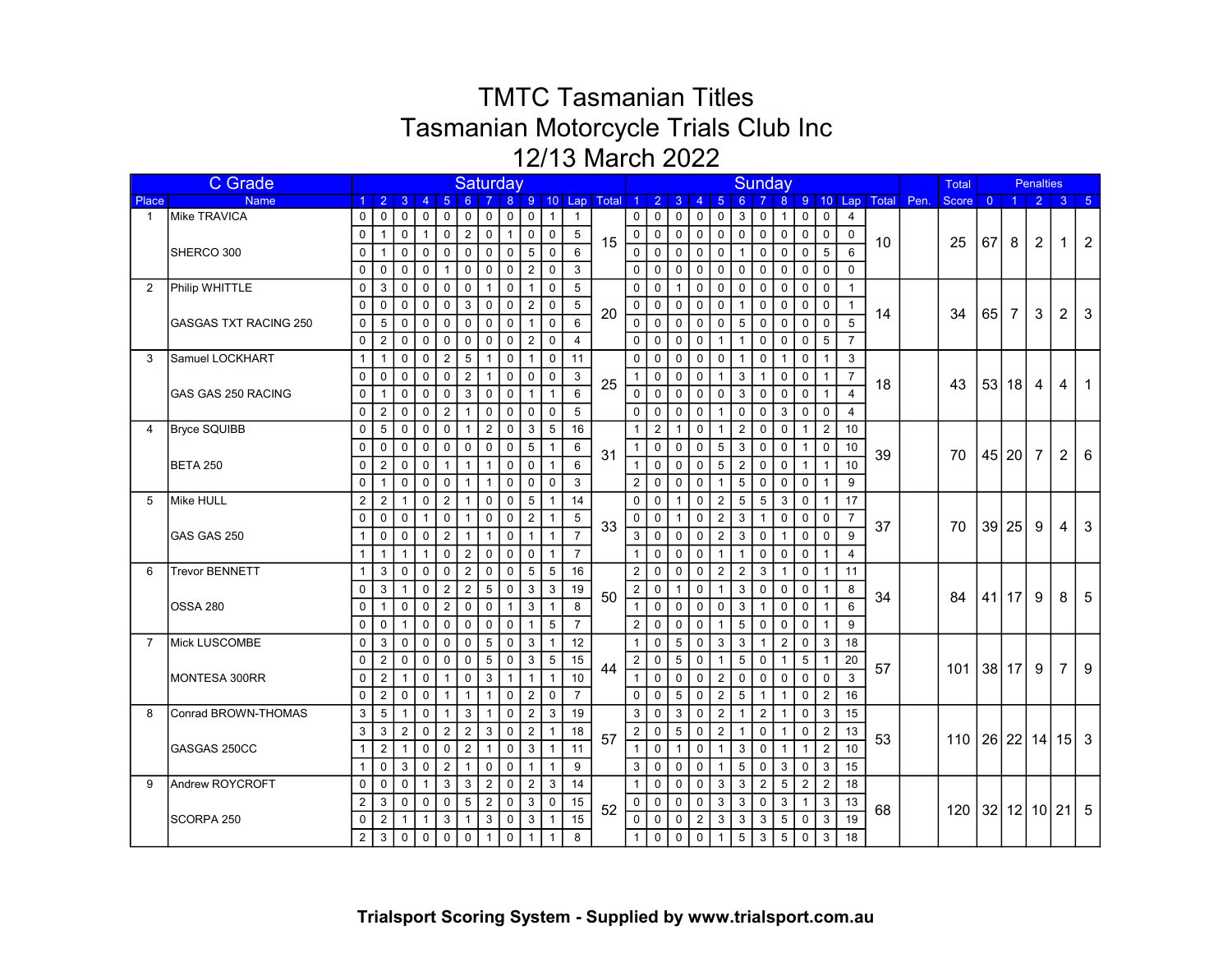|                | <b>C</b> Grade               |                |                |                |                      |                |                |                | Saturday       |                           |                  |                |                  |                |                     |              |                |                         |                | Sunday          |                |                |                |                |                  |      | <b>Total</b> |                |           | <b>Penalties</b>        |                |              |
|----------------|------------------------------|----------------|----------------|----------------|----------------------|----------------|----------------|----------------|----------------|---------------------------|------------------|----------------|------------------|----------------|---------------------|--------------|----------------|-------------------------|----------------|-----------------|----------------|----------------|----------------|----------------|------------------|------|--------------|----------------|-----------|-------------------------|----------------|--------------|
| Place          | <b>Name</b>                  |                | $1 \quad 2$    | 3 <sup>°</sup> | $\overline{4}$       | $-5$           | 6              |                |                |                           |                  |                | 8 9 10 Lap Total |                | $1 \quad 2 \quad 3$ |              | $\overline{4}$ | $5\phantom{1}$          | 6 <sup>°</sup> |                 |                |                |                |                | 8 9 10 Lap Total | Pen. | Score        | $\overline{0}$ | $\vert$ 1 | $\overline{2}$          | 3 <sup>°</sup> | $\vert 5$    |
| $\mathbf{1}$   | Mike TRAVICA                 | $\mathbf 0$    | $\mathbf 0$    | $\mathbf 0$    | $\mathbf 0$          | $\mathbf 0$    | $\mathbf 0$    | $\mathbf 0$    | $\mathbf 0$    | $\mathsf 0$               | $\mathbf{1}$     | $\overline{1}$ |                  | 0 <sup>1</sup> | $\mathbf 0$         | $\mathbf 0$  | 0              | $\mathbf 0$             | $\mathbf{3}$   | $\mathbf 0$     | $\mathbf{1}$   | $\mathbf 0$    | $\mathbf 0$    | $\overline{4}$ |                  |      |              |                |           |                         |                |              |
|                |                              | $\mathbf 0$    | $\mathbf{1}$   | $\mathbf 0$    | $\mathbf{1}$         | $\mathbf 0$    | $\overline{2}$ | $\mathbf 0$    | $\overline{1}$ | $\mathbf 0$               | $\pmb{0}$        | 5              | 15               | $\mathbf 0$    | $\mathbf 0$         | $\mathbf 0$  | $\mathbf 0$    | $\mathbf 0$             | $\mathsf{O}$   | $\mathsf 0$     | $\mathsf 0$    | $\mathbf 0$    | $\pmb{0}$      | $\mathbf 0$    | 10               |      | 25           | 67             | 8         | 2                       | 1              | 2            |
|                | SHERCO 300                   | $\mathbf 0$    | $\mathbf{1}$   | 0              | $\mathbf 0$          | $\mathsf 0$    | $\mathbf 0$    | $\mathbf 0$    | $\mathbf 0$    | 5                         | $\mathbf 0$      | 6              |                  | $\mathbf 0$    | $\mathbf 0$         | $\mathbf 0$  | $\mathbf 0$    | $\mathbf 0$             | $\mathbf{1}$   | $\mathbf 0$     | $\mathsf 0$    | $\mathbf 0$    | 5              | 6              |                  |      |              |                |           |                         |                |              |
|                |                              | $\mathbf{0}$   | $\mathbf 0$    | 0              | $\mathbf 0$          | $\mathbf{1}$   | $\mathbf 0$    | $\mathbf 0$    | $\mathbf 0$    | $\sqrt{2}$                | $\boldsymbol{0}$ | 3              |                  | $\overline{0}$ | $\mathbf 0$         | $\mathbf 0$  | $\Omega$       | $\mathbf 0$             | $\mathbf 0$    | $\mathbf 0$     | $\mathbf 0$    | $\mathbf 0$    | $\mathbf 0$    | $\mathbf 0$    |                  |      |              |                |           |                         |                |              |
| $\overline{2}$ | Philip WHITTLE               | 0              | $\mathbf{3}$   | $\mathbf 0$    | $\mathbf 0$          | $\mathbf 0$    | $\mathbf 0$    | $\overline{1}$ | $\mathbf 0$    | $\overline{1}$            | $\mathbf 0$      | 5              |                  | 0              | $\pmb{0}$           | $\mathbf{1}$ | $\Omega$       | $\mathbf 0$             | 0              | $\mathbf 0$     | $\mathbf 0$    | $\mathbf 0$    | $\mathbf 0$    | $\overline{1}$ |                  |      |              |                |           |                         |                |              |
|                |                              | $\Omega$       | $\Omega$       | $\Omega$       | $\Omega$             | $\mathbf 0$    | 3              | $\Omega$       | $\mathbf{0}$   | $\overline{2}$            | $\mathbf 0$      | 5              |                  | $\overline{0}$ | $\mathbf 0$         | $\mathbf 0$  | $\Omega$       | $\mathbf 0$             | $\mathbf 1$    | $\mathbf 0$     | $\mathbf 0$    | $\mathbf 0$    | $\mathbf 0$    | $\mathbf{1}$   |                  |      |              |                |           |                         |                |              |
|                | <b>GASGAS TXT RACING 250</b> | $\mathbf 0$    | 5              | $\Omega$       | $\Omega$             | $\Omega$       | $\Omega$       | $\Omega$       | $\Omega$       | $\overline{1}$            | $\mathbf{0}$     | 6              | 20               | $\overline{0}$ | $\mathbf 0$         | $\mathbf{0}$ | $\Omega$       | $\Omega$                | 5              | $\Omega$        | $\Omega$       | $\Omega$       | $\Omega$       | 5              | 14               |      | 34           | 65             | 7         | 3                       | $\overline{2}$ | 3            |
|                |                              | $\Omega$       | 2              | $\mathbf{0}$   | $\Omega$             | $\mathbf{0}$   | $\Omega$       | $\Omega$       | $\Omega$       | 2                         | $\Omega$         | $\overline{4}$ |                  | $\Omega$       | $\mathbf 0$         | $\mathbf{0}$ | $\Omega$       | $\overline{1}$          | $\mathbf{1}$   | $\mathbf 0$     | $\Omega$       | $\Omega$       | 5              | $\overline{7}$ |                  |      |              |                |           |                         |                |              |
| 3              | Samuel LOCKHART              | 1              | $\mathbf{1}$   | $\Omega$       | $\Omega$             | $\overline{2}$ | 5              | $\overline{1}$ | $\mathbf 0$    | $\overline{1}$            | $\mathbf 0$      | 11             |                  | 0              | $\mathbf 0$         | $\Omega$     | $\Omega$       | $\Omega$                | $\mathbf{1}$   | $\mathbf 0$     | $\mathbf{1}$   | $\mathbf 0$    | $\mathbf{1}$   | 3              |                  |      |              |                |           |                         |                |              |
|                |                              | $\Omega$       | $\Omega$       | $\Omega$       | $\Omega$             | $\mathbf 0$    | 2              | $\mathbf{1}$   | $\mathbf 0$    | $\mathbf 0$               | $\mathbf 0$      | 3              |                  | 1 <sup>1</sup> | $\mathbf 0$         | $\mathbf 0$  | $\Omega$       | $\mathbf 1$             | 3              | $\mathbf{1}$    | $\overline{0}$ | $\mathbf 0$    | $\mathbf{1}$   | $\overline{7}$ |                  |      |              |                |           |                         |                |              |
|                | <b>GAS GAS 250 RACING</b>    | $\mathbf 0$    | $\overline{1}$ | $\mathbf 0$    | $\mathbf 0$          | $\mathbf 0$    | 3              | $\mathbf 0$    | $\mathbf 0$    | $\overline{1}$            | $\mathbf{1}$     | 6              | 25               | 0 <sup>1</sup> | $\mathbf 0$         | $\mathbf 0$  | $\Omega$       | $\mathbf 0$             | 3              | $\mathbf 0$     | $\overline{0}$ | $\mathbf 0$    | $\mathbf{1}$   | 4              | 18               |      | 43           |                | 53 18     | 4                       | 4              | $\mathbf 1$  |
|                |                              | 0              | 2              | $\mathbf 0$    | $\mathbf 0$          | $\overline{2}$ | $\mathbf{1}$   | $\mathbf 0$    | $\mathbf 0$    | $\mathbf 0$               | $\mathbf 0$      | 5              |                  | 0              | $\mathbf 0$         | $\mathbf 0$  | $\mathbf 0$    | $\mathbf 1$             | 0              | $\mathbf 0$     | 3              | 0              | $\mathbf 0$    | 4              |                  |      |              |                |           |                         |                |              |
| $\Delta$       | <b>Bryce SQUIBB</b>          | 0              | 5              | $\mathbf 0$    | 0                    | $\mathbf 0$    | $\mathbf{1}$   | $\overline{2}$ | $\mathbf 0$    | 3                         | 5                | 16             |                  | $\mathbf{1}$   | $\overline{2}$      | $\mathbf{1}$ | 0              | $\overline{\mathbf{1}}$ | $\overline{2}$ | $\mathbf 0$     | $\mathbf 0$    | $\mathbf 1$    | $\overline{2}$ | 10             |                  |      |              |                |           |                         |                |              |
|                |                              | 0              | 0              | $\mathbf 0$    | $\mathbf 0$          | 0              | $\mathbf 0$    | $\mathbf 0$    | $\mathbf 0$    | 5                         | -1               | 6              |                  | 1 <sup>1</sup> | $\mathbf 0$         | 0            | 0              | 5                       | 3              | 0               | $\mathbf 0$    | -1             | 0              | 10             |                  |      |              |                |           |                         |                |              |
|                | <b>BETA 250</b>              | 0              | $\overline{2}$ | $\mathbf 0$    | 0                    | $\overline{1}$ | $\mathbf{1}$   | $\mathbf{1}$   | $\mathbf 0$    | $\mathbf 0$               | $\mathbf{1}$     | 6              | 31               | 1 <sup>1</sup> | $\mathbf 0$         | $\Omega$     | $\mathbf 0$    | 5                       | $\overline{2}$ | $\mathbf 0$     | $\mathbf 0$    | $\mathbf 1$    | 1              | 10             | 39               |      | 70           |                | 45 20     | $\overline{7}$          | 2              | 6            |
|                |                              | 0              | $\mathbf{1}$   | $\mathbf 0$    | $\mathbf 0$          | $\mathbf 0$    | $\mathbf{1}$   | $\overline{1}$ | $\mathbf 0$    | $\mathbf 0$               | $\mathbf 0$      | 3              |                  | $\overline{2}$ | $\mathbf 0$         | $\mathbf 0$  | 0              | $\mathbf{1}$            | 5              | $\mathbf 0$     | $\mathbf 0$    | $\mathbf 0$    | 1              | 9              |                  |      |              |                |           |                         |                |              |
| 5              | Mike HULL                    | $\overline{2}$ | $\overline{2}$ | $\mathbf{1}$   | $\mathbf 0$          | $\overline{2}$ | $\mathbf{1}$   | $\mathbf 0$    | $\mathbf 0$    | 5                         | $\mathbf{1}$     | 14             |                  | 0              | $\mathbf 0$         | $\mathbf{1}$ | $\mathbf 0$    | $\overline{2}$          | 5              | $5\phantom{.0}$ | 3              | $\mathbf 0$    | $\mathbf{1}$   | 17             |                  |      |              |                |           |                         |                |              |
|                |                              | $\mathbf 0$    | $\mathbf 0$    | $\mathbf 0$    | $\mathbf{1}$         | $\mathbf 0$    | $\mathbf{1}$   | $\mathbf 0$    | $\mathbf 0$    | $\overline{2}$            | $\mathbf{1}$     | 5              |                  | $\circ$ 1      | $\mathbf 0$         | $\mathbf{1}$ | 0              | $\overline{2}$          | 3              | $\mathbf{1}$    | $\mathbf 0$    | 0              | $\mathbf 0$    | $\overline{7}$ |                  |      |              |                |           |                         |                |              |
|                | GAS GAS 250                  | $\mathbf{1}$   | $\mathbf 0$    | $\mathbf 0$    | $\mathbf 0$          | $\overline{2}$ | $\mathbf{1}$   | $\mathbf{1}$   | $\pmb{0}$      | $\mathbf{1}$              | $\mathbf{1}$     | $\overline{7}$ | 33               | 3              | $\mathbf 0$         | $\mathbf 0$  | $\mathbf 0$    | $\overline{2}$          | 3              | $\mathbf 0$     | $\mathbf{1}$   | $\mathbf 0$    | $\Omega$       | 9              | 37               |      | 70           |                | 39 25     | 9                       | 4              | $\mathbf{3}$ |
|                |                              | 1              | $\mathbf{1}$   | $\mathbf{1}$   | $\mathbf{1}$         | $\mathbf 0$    | $\overline{2}$ | $\mathbf 0$    | $\mathbf 0$    | $\mathbf 0$               | $\mathbf{1}$     | $\overline{7}$ |                  | 1              | $\mathbf 0$         | $\mathbf 0$  | $\mathbf 0$    | $\overline{1}$          | $\mathbf{1}$   | $\mathbf 0$     | $\mathbf 0$    | $\mathbf 0$    | 1              | $\overline{4}$ |                  |      |              |                |           |                         |                |              |
| 6              | <b>Trevor BENNETT</b>        | $\mathbf{1}$   | 3              | $\mathbf 0$    | $\mathbf 0$          | $\mathbf 0$    | $\overline{2}$ | $\mathbf 0$    | $\overline{0}$ | $\sqrt{5}$                | 5                | 16             |                  | $\overline{2}$ | $\mathbf 0$         | $\mathbf 0$  | $\mathbf 0$    | $\overline{2}$          | $\overline{2}$ | 3               | $\mathbf{1}$   | $\mathbf 0$    | 1              | 11             |                  |      |              |                |           |                         |                |              |
|                |                              | $\mathbf 0$    | 3              | $\mathbf{1}$   | $\pmb{0}$            | $\overline{2}$ | $\mathbf{2}$   | 5              | $\mathbf 0$    | 3                         | 3                | 19             |                  | $\overline{2}$ | $\mathbf 0$         | $\mathbf{1}$ | $\mathbf 0$    | $\mathbf{1}$            | $\mathbf{3}$   | $\mathbf 0$     | $\mathbf 0$    | $\mathbf 0$    |                | 8              |                  |      |              |                |           |                         |                |              |
|                | <b>OSSA 280</b>              | $\mathbf 0$    | $\mathbf{1}$   | $\mathbf 0$    | $\mathbf 0$          | $\overline{2}$ | $\mathbf 0$    | $\mathbf 0$    | $\mathbf{1}$   | 3                         | $\mathbf{1}$     | 8              | 50               | 1 <sup>1</sup> | $\pmb{0}$           | $\mathbf 0$  | $\mathbf 0$    | $\mathbf 0$             | 3              | $\mathbf{1}$    | $\mathbf 0$    | $\mathbf 0$    | $\mathbf{1}$   | 6              | 34               |      | 84           |                | $41$   17 | 9                       | 8              | 5            |
|                |                              | $\mathbf 0$    | $\mathbf 0$    | $\mathbf{1}$   | $\mathbf 0$          | $\mathbf 0$    | $\pmb{0}$      | $\mathbf 0$    | $\mathbf 0$    | $\mathbf{1}$              | $\sqrt{5}$       | $\overline{7}$ |                  | $\overline{2}$ | $\mathbf 0$         | $\mathbf 0$  | $\mathbf 0$    |                         | 5              | $\mathbf 0$     | $\mathbf 0$    | $\mathbf 0$    |                | 9              |                  |      |              |                |           |                         |                |              |
| $\overline{7}$ | Mick LUSCOMBE                | 0              | 3              | $\mathbf 0$    | $\pmb{0}$            | $\mathbf 0$    | $\pmb{0}$      | $\sqrt{5}$     | $\mathbf 0$    | $\ensuremath{\mathsf{3}}$ |                  | 12             |                  | 1              | $\pmb{0}$           | $\sqrt{5}$   | $\mathbf 0$    | $\sqrt{3}$              | $\sqrt{3}$     | $\mathbf{1}$    | $\overline{2}$ | $\mathbf 0$    | 3              | 18             |                  |      |              |                |           |                         |                |              |
|                |                              | $\mathbf 0$    | $\overline{2}$ | $\mathbf 0$    | $\mathbf 0$          | $\mathbf 0$    | $\mathbf 0$    | 5              | $\overline{0}$ | 3                         | 5                | 15             |                  | 2              | $\mathbf 0$         | 5            | $\mathbf 0$    | $\overline{1}$          | 5              | $\mathbf 0$     | $\mathbf{1}$   | 5              |                | 20             |                  |      |              |                |           |                         |                |              |
|                | MONTESA 300RR                | $\Omega$       | $\overline{2}$ | $\mathbf{1}$   | $\mathbf 0$          | $\mathbf{1}$   | $\mathbf 0$    | 3              | $\mathbf{1}$   | $\overline{1}$            | $\mathbf{1}$     | 10             | 44               | 1 <sup>1</sup> | $\mathbf 0$         | $\mathbf 0$  | $\Omega$       | $\overline{2}$          | $\mathbf 0$    | $\mathbf 0$     | $\mathbf 0$    | $\Omega$       | $\mathbf{0}$   | 3              | 57               |      | 101          | 38 17          |           | 9                       | $\overline{7}$ | 9            |
|                |                              | $\Omega$       | $\overline{2}$ | $\mathbf{0}$   | $\mathbf 0$          | $\overline{1}$ | $\mathbf{1}$   | $\mathbf{1}$   | $\mathbf 0$    | $\overline{2}$            | $\Omega$         | $\overline{7}$ |                  | $\Omega$       | $\Omega$            | 5            | $\Omega$       | $\overline{2}$          | $\sqrt{5}$     | $\overline{1}$  | $\mathbf{1}$   | $\Omega$       | $\overline{2}$ | 16             |                  |      |              |                |           |                         |                |              |
| 8              | Conrad BROWN-THOMAS          | 3              | 5              | $\overline{1}$ | $\mathbf 0$          | $\mathbf{1}$   | 3              | $\overline{1}$ | $\mathbf 0$    | $\overline{2}$            | 3                | 19             |                  | 3              | $\Omega$            | 3            | $\Omega$       | $\overline{2}$          | $\mathbf{1}$   | $\overline{2}$  | $\overline{1}$ | $\mathbf{0}$   | 3              | 15             |                  |      |              |                |           |                         |                |              |
|                |                              | 3              | 3              | $\overline{2}$ | $\Omega$             | $\overline{2}$ | $\overline{2}$ | 3              | $\mathbf 0$    | $\sqrt{2}$                | 1                | 18             |                  | 2 <sup>2</sup> | $\mathbf 0$         | 5            | $\Omega$       | $\overline{2}$          | $\mathbf{1}$   | $\mathbf 0$     | $\mathbf{1}$   | $\mathbf 0$    | $\overline{2}$ | 13             |                  |      |              |                |           |                         |                |              |
|                | GASGAS 250CC                 | $\mathbf{1}$   | $\overline{2}$ | $\mathbf{1}$   | $\mathbf 0$          | $\mathbf 0$    | $\overline{2}$ | $\overline{1}$ | $\mathbf 0$    | 3                         | $\mathbf{1}$     | 11             | 57               | $\mathbf{1}$   | $\mathbf 0$         | $\mathbf{1}$ | $\Omega$       | $\overline{1}$          | 3              | $\Omega$        | $\overline{1}$ | $\overline{1}$ | $\overline{2}$ | 10             | 53               |      | 110 l        |                |           | $26$   22   14   15   3 |                |              |
|                |                              | $\mathbf{1}$   | $\mathbf 0$    | $\mathbf{3}$   | $\Omega$             | $\overline{2}$ | $\mathbf{1}$   | $\Omega$       | $\Omega$       | $\overline{1}$            | $\mathbf{1}$     | 9              |                  | $\mathbf{3}$   | $\Omega$            | $\Omega$     | $\Omega$       | $\overline{1}$          | 5              | $\mathbf{0}$    | $\mathbf{3}$   | $\Omega$       | 3              | 15             |                  |      |              |                |           |                         |                |              |
| 9              | Andrew ROYCROFT              | $\Omega$       | $\mathbf 0$    | $\mathbf 0$    | $\blacktriangleleft$ | 3              | 3              | $\overline{2}$ | $\Omega$       | $\overline{2}$            | 3                | 14             |                  | $\mathbf{1}$   | $\mathbf 0$         | $\Omega$     | $\Omega$       | 3                       | 3              | $\overline{2}$  | 5              | $\overline{2}$ | $\overline{2}$ | 18             |                  |      |              |                |           |                         |                |              |
|                |                              | $\overline{2}$ | 3              | $\mathbf 0$    | $\mathbf 0$          | $\mathbf 0$    | 5              | $\overline{2}$ | $\mathbf 0$    | 3                         | $\mathbf 0$      | 15             |                  | 0              | $\mathbf 0$         | $\mathbf 0$  | $\mathbf{0}$   | 3                       | 3              | $\mathbf 0$     | $\mathbf{3}$   | $\overline{1}$ | 3              | 13             |                  |      |              |                |           |                         |                |              |
|                | SCORPA 250                   | $\mathbf 0$    | 2              | $\mathbf{1}$   | $\mathbf{1}$         | 3              | $\mathbf{1}$   | 3              | $\mathbf 0$    | 3                         | $\mathbf{1}$     | 15             | 52               | $\mathbf 0$    | $\mathbf 0$         | $\mathbf 0$  | 2              | 3                       | 3              | 3               | 5              | $\Omega$       | 3              | 19             | 68               |      | 120          |                |           | $32$   12  10  21  5    |                |              |
|                |                              | 2 <sup>1</sup> | 3              | $\Omega$       | $\mathbf 0$          | $\mathbf 0$    | $\mathbf 0$    | $\mathbf{1}$   | $\overline{0}$ | $\overline{1}$            | $\mathbf{1}$     | 8              |                  | $\mathbf{1}$   | $\mathbf 0$         | $\mathbf{0}$ | $\mathbf 0$    | $\overline{1}$          | 5 <sup>1</sup> | $\mathbf{3}$    | 5              | $\mathbf 0$    | 3              | 18             |                  |      |              |                |           |                         |                |              |
|                |                              |                |                |                |                      |                |                |                |                |                           |                  |                |                  |                |                     |              |                |                         |                |                 |                |                |                |                |                  |      |              |                |           |                         |                |              |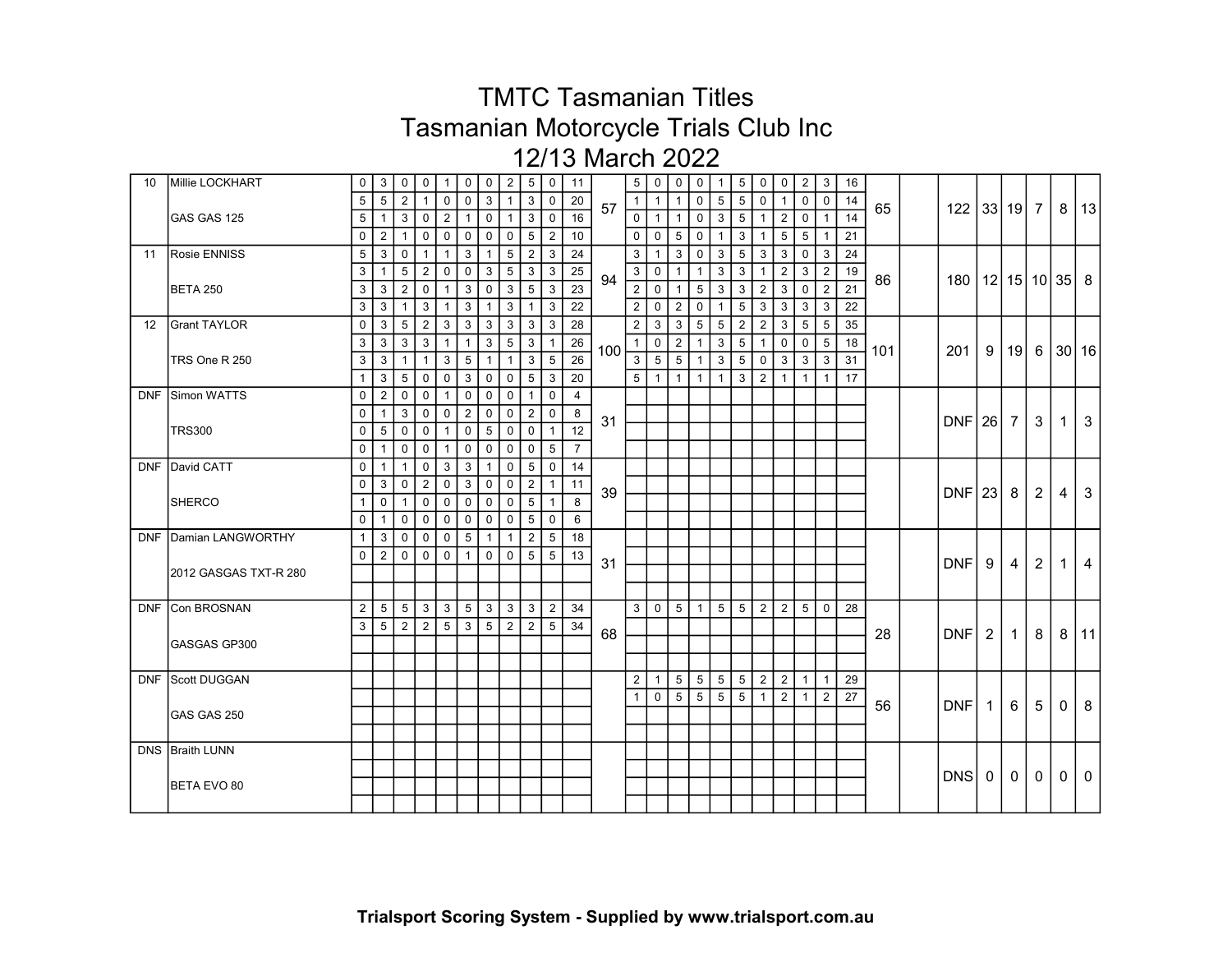| 10 | Millie LOCKHART              | $\overline{0}$ | 3               | $\mathbf 0$     | 0              | $\mathbf{1}$   | 0               | 0               | $\overline{2}$ | 5               | $\overline{0}$ | 11             |     | $5 \mid$       | $\mathbf 0$    | $\mathbf 0$     | 0            | $\mathbf{1}$   | 5               | $\mathbf 0$    | $\mathbf 0$    | $\overline{2}$ | 3              | 16 |     |                             |                |                |                |              |              |
|----|------------------------------|----------------|-----------------|-----------------|----------------|----------------|-----------------|-----------------|----------------|-----------------|----------------|----------------|-----|----------------|----------------|-----------------|--------------|----------------|-----------------|----------------|----------------|----------------|----------------|----|-----|-----------------------------|----------------|----------------|----------------|--------------|--------------|
|    |                              | 5              | 5               | $\overline{2}$  |                | $\mathbf 0$    | 0               | 3               |                | 3               | 0              | 20             |     | 1 <sup>1</sup> | $\overline{1}$ | $\mathbf{1}$    | 0            | 5              | 5               | 0              | $\mathbf 1$    | $\mathbf 0$    | $\overline{0}$ | 14 |     |                             |                |                |                |              |              |
|    | GAS GAS 125                  | 5 <sup>1</sup> | $\mathbf{1}$    | 3               | $\mathbf 0$    | $\overline{2}$ | $\mathbf{1}$    | $\mathbf 0$     | $\mathbf{1}$   | 3               | $\mathbf 0$    | 16             | 57  | 0 <sup>1</sup> | $\overline{1}$ | $\mathbf{1}$    | 0            | 3              | 5 <sup>5</sup>  | $\mathbf{1}$   | $\overline{2}$ | $\mathbf 0$    | $\mathbf{1}$   | 14 | 65  | 122 33 19 7                 |                |                |                | 8            | 13           |
|    |                              | 0 <sup>1</sup> | $\overline{2}$  | $\mathbf{1}$    | 0              | $\mathbf 0$    | $\mathbf 0$     | $\mathbf 0$     | 0              | 5               | $\overline{2}$ | 10             |     | 0 <sup>1</sup> | $\mathbf 0$    | 5               | $\mathbf 0$  | $\mathbf{1}$   | 3               | $\mathbf{1}$   | 5              | 5              | $\mathbf{1}$   | 21 |     |                             |                |                |                |              |              |
|    | 11 Rosie ENNISS              | 5 <sup>1</sup> | $\mathbf{3}$    | $\mathbf 0$     | $\mathbf{1}$   | $\mathbf{1}$   | 3               | $\mathbf{1}$    | 5              | 2               | 3              | 24             |     | 3 <sup>1</sup> | $\overline{1}$ | $\mathbf{3}$    | $\mathbf 0$  | 3              | $5\overline{)}$ | $\mathbf{3}$   | $\mathbf{3}$   | $\mathbf 0$    | -3             | 24 |     |                             |                |                |                |              |              |
|    |                              | 3 <sup>1</sup> | $\mathbf{1}$    | 5               | $\overline{2}$ | $\mathbf 0$    | $\mathbf 0$     | $\mathbf{3}$    | 5              | 3               | 3              | 25             |     | 3 <sup>1</sup> | $\mathbf 0$    | $\mathbf{1}$    | $\mathbf{1}$ | 3              | 3               | $\mathbf{1}$   | 2              | 3              | $\overline{2}$ | 19 |     |                             |                |                |                |              |              |
|    | <b>BETA 250</b>              | 3 <sup>1</sup> | 3               | $\overline{2}$  | 0              | 1              | 3               | $\mathbf 0$     | 3              | $5\phantom{.0}$ | 3              | 23             | 94  | 2 <sup>1</sup> | $\mathbf 0$    | $\mathbf{1}$    | 5            | 3              | 3               | $\overline{2}$ | 3              | $\mathbf 0$    | $\overline{2}$ | 21 | 86  | 180   12   15   10   35   8 |                |                |                |              |              |
|    |                              | 3 <sup>1</sup> | $\mathbf{3}$    | $\overline{1}$  | 3              | $\mathbf{1}$   | $\mathbf{3}$    | $\mathbf{1}$    | 3              | $\overline{1}$  | 3              | 22             |     | 2 <sup>1</sup> | $\mathbf 0$    | $\overline{2}$  | $\mathbf 0$  | $\mathbf{1}$   | $5\overline{)}$ | $\mathbf{3}$   | $\mathbf{3}$   | 3              | 3              | 22 |     |                             |                |                |                |              |              |
|    | 12 Grant TAYLOR              | $\overline{0}$ | $\mathbf{3}$    | $5\phantom{.0}$ | $\overline{2}$ | 3              | $\mathbf{3}$    | 3               | 3              | 3               | 3              | 28             |     | 2              | 3              | 3               | 5            | 5              | $\overline{2}$  | $\overline{2}$ | 3              | 5              | 5              | 35 |     |                             |                |                |                |              |              |
|    |                              | 3 <sup>1</sup> | 3               | 3               | 3              | $\mathbf{1}$   | $\mathbf{1}$    | 3               | 5              | 3               | $\mathbf{1}$   | 26             |     | $1 \mid$       | $\mathbf 0$    | 2               | $\mathbf{1}$ | 3              | 5 <sup>5</sup>  | $\mathbf{1}$   | $\mathbf 0$    | 0              | 5              | 18 |     |                             |                |                |                |              |              |
|    | TRS One R 250                | 3 <sup>1</sup> | 3               | $\mathbf{1}$    | -1             | 3              | 5               | $\mathbf{1}$    | -1             | 3               | 5              | 26             | 100 | 3 <sup>1</sup> | 5              | $5\phantom{.0}$ | -1           | 3              | 5               | 0              | 3              | 3              | 3              | 31 | 101 | 201                         | -9             | 19             | 6              |              | 30 16        |
|    |                              | 1 <sup>1</sup> | 3               | $5\phantom{.0}$ | $\mathbf 0$    | $\mathbf 0$    | 3               | $\mathbf 0$     | 0              | 5               | -3             | 20             |     | 5 <sup>1</sup> | $\overline{1}$ | $\mathbf{1}$    | $\mathbf{1}$ | $\mathbf{1}$   | 3               | 2              | $\mathbf{1}$   | -1             | 1              | 17 |     |                             |                |                |                |              |              |
|    | DNF Simon WATTS              | $\overline{0}$ | $\overline{2}$  | 0               | 0              | $\mathbf{1}$   | $\mathbf 0$     | $\mathbf 0$     | 0              | $\mathbf{1}$    | 0              | $\overline{4}$ |     |                |                |                 |              |                |                 |                |                |                |                |    |     |                             |                |                |                |              |              |
|    |                              | 0              | $\mathbf 1$     | 3               | 0              | $\mathbf 0$    | $\overline{2}$  | 0               | 0              | $\overline{2}$  | 0              | 8              |     |                |                |                 |              |                |                 |                |                |                |                |    |     |                             |                |                |                |              |              |
|    | <b>TRS300</b>                | 0 <sup>1</sup> | 5               | $\mathbf 0$     | 0              | $\mathbf{1}$   | 0               | 5               | 0              | $\mathbf 0$     | $\overline{1}$ | 12             | 31  |                |                |                 |              |                |                 |                |                |                |                |    |     | $DNF$ 26                    |                | 7              | 3              | 1            | $\mathbf{3}$ |
|    |                              | $\overline{0}$ | $\mathbf{1}$    | $\mathbf 0$     | $\mathbf 0$    | $\mathbf{1}$   | $\mathbf 0$     | $\mathbf 0$     | 0              | $\mathbf 0$     | 5              | $\overline{7}$ |     |                |                |                 |              |                |                 |                |                |                |                |    |     |                             |                |                |                |              |              |
|    | DNF David CATT               | 0 <sup>1</sup> | $\overline{1}$  | $\mathbf{1}$    | $\mathbf 0$    | 3              | 3               | $\mathbf{1}$    | 0              | 5               | $\overline{0}$ | 14             |     |                |                |                 |              |                |                 |                |                |                |                |    |     |                             |                |                |                |              |              |
|    |                              | 0 <sup>1</sup> | 3               | $\mathbf 0$     | 2              | $\mathbf 0$    | $\mathbf{3}$    | $\mathbf 0$     | $\mathbf 0$    | 2               | $\mathbf{1}$   | 11             |     |                |                |                 |              |                |                 |                |                |                |                |    |     |                             |                |                |                |              |              |
|    | <b>SHERCO</b>                | 1 <sup>1</sup> | $\mathbf 0$     | $\mathbf{1}$    | $\mathbf 0$    | $\mathbf 0$    | $\mathbf{0}$    | $\mathbf 0$     | $\mathbf 0$    | $\sqrt{5}$      | $\mathbf{1}$   | 8              | 39  |                |                |                 |              |                |                 |                |                |                |                |    |     | $DNF$   23                  |                | 8              | $\overline{2}$ | 4            | 3            |
|    |                              | $\overline{0}$ | $\mathbf{1}$    | $\mathbf 0$     | $\mathbf 0$    | $\mathbf 0$    | $\mathbf{0}$    | $\mathbf{0}$    | 0              | 5               | $\mathbf 0$    | 6              |     |                |                |                 |              |                |                 |                |                |                |                |    |     |                             |                |                |                |              |              |
|    | <b>DNF Damian LANGWORTHY</b> | 1 <sup>1</sup> | $\mathbf{3}$    | $\mathbf 0$     | $\mathbf 0$    | $\mathbf 0$    | 5               | $\overline{1}$  | $\mathbf{1}$   | $\overline{2}$  | 5              | 18             |     |                |                |                 |              |                |                 |                |                |                |                |    |     |                             |                |                |                |              |              |
|    |                              | 0 <sup>1</sup> | $\overline{2}$  | $\mathbf 0$     | $\mathbf 0$    | $\mathbf 0$    | $\mathbf{1}$    | $\overline{0}$  | $\mathbf 0$    | $5 \mid 5$      |                | 13             |     |                |                |                 |              |                |                 |                |                |                |                |    |     |                             |                |                |                |              |              |
|    | 2012 GASGAS TXT-R 280        |                |                 |                 |                |                |                 |                 |                |                 |                |                | 31  |                |                |                 |              |                |                 |                |                |                |                |    |     | <b>DNF</b>                  | 9              | $\overline{4}$ | $\overline{2}$ | $\mathbf 1$  | 4            |
|    |                              |                |                 |                 |                |                |                 |                 |                |                 |                |                |     |                |                |                 |              |                |                 |                |                |                |                |    |     |                             |                |                |                |              |              |
|    | DNF Con BROSNAN              | 2 <sup>1</sup> | $5\overline{)}$ | $5\overline{5}$ | 3              | 3              | $5\overline{)}$ | 3               | 3              | 3               | $\overline{2}$ | 34             |     | 3 <sup>1</sup> | $\overline{0}$ | $5\overline{)}$ | $\mathbf{1}$ | 5 <sup>5</sup> | $5\overline{)}$ | 2 <sup>1</sup> | $\overline{2}$ | 5              | $\mathbf 0$    | 28 |     |                             |                |                |                |              |              |
|    |                              | 3 <sup>1</sup> | 5               | 2               | $\overline{2}$ | 5              | 3               | $5\phantom{.0}$ | 2              | $\overline{2}$  | 5              | 34             |     |                |                |                 |              |                |                 |                |                |                |                |    |     |                             |                |                |                |              |              |
|    | GASGAS GP300                 |                |                 |                 |                |                |                 |                 |                |                 |                |                | 68  |                |                |                 |              |                |                 |                |                |                |                |    | 28  | DNF                         | $\overline{2}$ | $\sim$ 1       | 8              |              | 8   11       |
|    |                              |                |                 |                 |                |                |                 |                 |                |                 |                |                |     |                |                |                 |              |                |                 |                |                |                |                |    |     |                             |                |                |                |              |              |
|    | DNF Scott DUGGAN             |                |                 |                 |                |                |                 |                 |                |                 |                |                |     | 2 <sup>1</sup> | $\mathbf 1$    | 5               | 5            | 5              | $5\overline{)}$ | 2              | $\overline{2}$ | $\overline{1}$ | $\mathbf{1}$   | 29 |     |                             |                |                |                |              |              |
|    |                              |                |                 |                 |                |                |                 |                 |                |                 |                |                |     | 1 <sup>1</sup> | $\mathbf 0$    | $5\phantom{.0}$ | 5            | 5              | $5\phantom{.0}$ | $\overline{1}$ | $\overline{2}$ | $\overline{1}$ | $\overline{2}$ | 27 |     |                             |                |                |                |              |              |
|    | GAS GAS 250                  |                |                 |                 |                |                |                 |                 |                |                 |                |                |     |                |                |                 |              |                |                 |                |                |                |                |    | 56  | <b>DNF</b>                  | $\overline{1}$ | 6              | 5              | $\mathbf{0}$ | 8            |
|    |                              |                |                 |                 |                |                |                 |                 |                |                 |                |                |     |                |                |                 |              |                |                 |                |                |                |                |    |     |                             |                |                |                |              |              |
|    | DNS Braith LUNN              |                |                 |                 |                |                |                 |                 |                |                 |                |                |     |                |                |                 |              |                |                 |                |                |                |                |    |     |                             |                |                |                |              |              |
|    |                              |                |                 |                 |                |                |                 |                 |                |                 |                |                |     |                |                |                 |              |                |                 |                |                |                |                |    |     |                             |                |                |                |              |              |
|    | <b>BETA EVO 80</b>           |                |                 |                 |                |                |                 |                 |                |                 |                |                |     |                |                |                 |              |                |                 |                |                |                |                |    |     | DNS                         | $\overline{0}$ | 0 <sup>1</sup> | $\overline{0}$ | $\mathbf{0}$ | $\mathbf{0}$ |
|    |                              |                |                 |                 |                |                |                 |                 |                |                 |                |                |     |                |                |                 |              |                |                 |                |                |                |                |    |     |                             |                |                |                |              |              |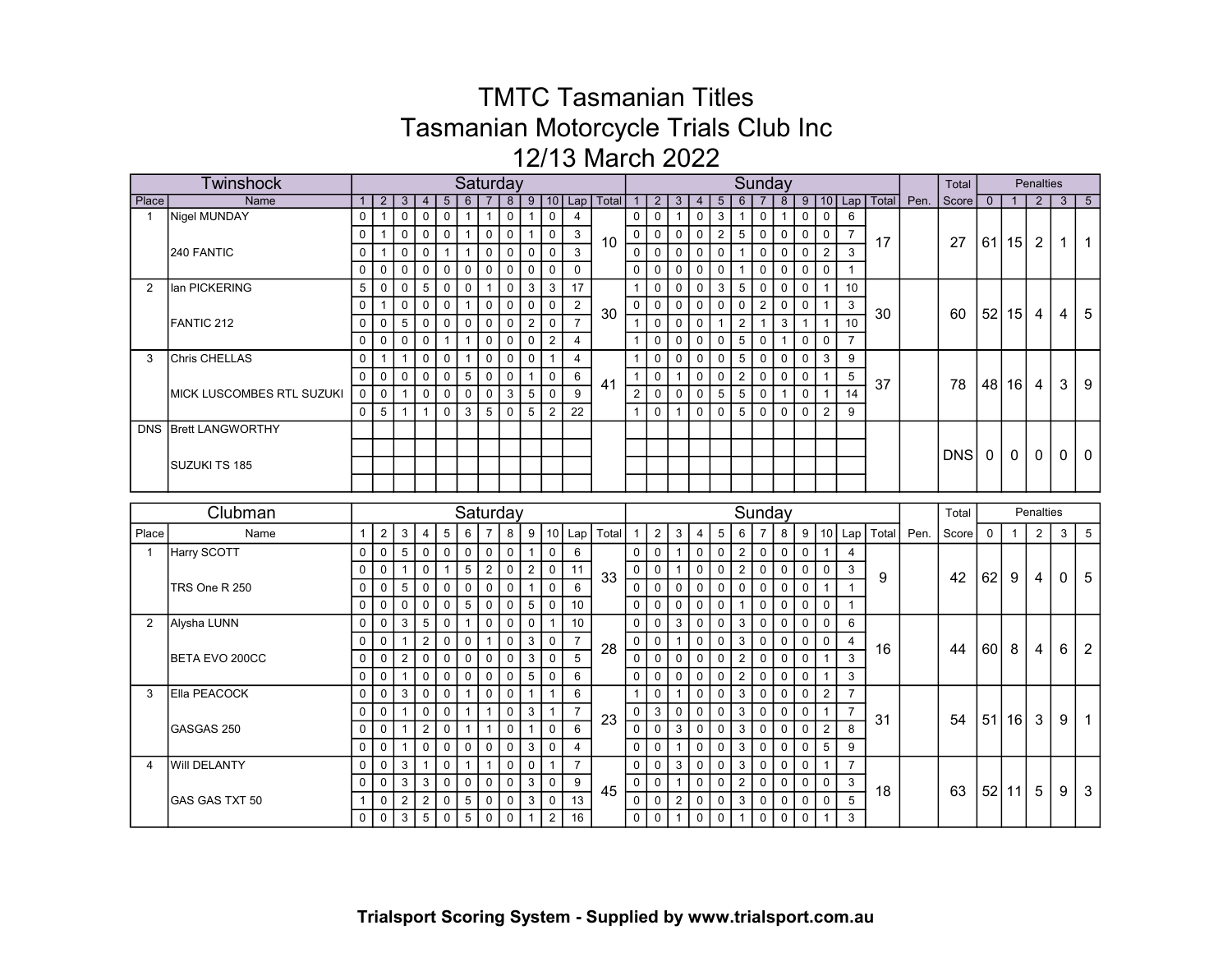|                | Twinshock                  |              |                |                      |                |                 |                |                | Saturday       |                |                |                |                      |                |                |                |                |                 |                | Sunday         |              |              |                |                |                      |      | Total      |                |                 | <b>Penalties</b> |              |                 |
|----------------|----------------------------|--------------|----------------|----------------------|----------------|-----------------|----------------|----------------|----------------|----------------|----------------|----------------|----------------------|----------------|----------------|----------------|----------------|-----------------|----------------|----------------|--------------|--------------|----------------|----------------|----------------------|------|------------|----------------|-----------------|------------------|--------------|-----------------|
| Place          | <b>Name</b>                |              | $\overline{2}$ | 3                    | $\overline{4}$ | $5\phantom{.0}$ | $6\phantom{1}$ |                | $\overline{8}$ |                |                |                | 9   10   Lap   Total | 1              | 2 <sup>1</sup> | $\overline{3}$ | $\overline{4}$ | $5\phantom{.0}$ | 6              |                | 8            |              |                |                | 9   10   Lap   Total | Pen. | Score      | $\overline{0}$ | $\overline{1}$  | $\overline{2}$   | 3            | $5\overline{)}$ |
| $\overline{1}$ | Nigel MUNDAY               | $\mathbf 0$  | $\overline{1}$ | $\mathbf 0$          | $\mathbf 0$    | $\mathsf 0$     | $\mathbf{1}$   | $\mathbf{1}$   | $\mathsf 0$    |                | $\mathbf 0$    | $\overline{4}$ |                      | $\mathbf 0$    | $\mathsf 0$    | $\mathbf{1}$   | $\pmb{0}$      | $\sqrt{3}$      | 1              | 0              | $\mathbf{1}$ | $\mathbf 0$  | $\mathbf 0$    | 6              |                      |      |            |                |                 |                  |              |                 |
|                |                            | $\mathbf 0$  | $\mathbf{1}$   | $\mathbf 0$          | $\mathbf 0$    | $\mathsf 0$     | $\mathbf{1}$   | $\mathbf 0$    | $\mathbf 0$    | $\mathbf{1}$   | $\mathbf 0$    | $\mathbf{3}$   | 10                   | $\mathbf 0$    | $\mathbf 0$    | $\mathbf 0$    | $\overline{0}$ | $\overline{2}$  | $\overline{5}$ | $\mathbf 0$    | $\mathsf 0$  | $\mathbf 0$  | $\mathbf 0$    | $\overline{7}$ | 17                   |      | 27         |                | 61 15           | $\overline{2}$   | $\mathbf{1}$ | $\overline{1}$  |
|                | 240 FANTIC                 | $\mathbf 0$  | $\overline{1}$ | $\mathbf 0$          | $\mathbf 0$    | $\mathbf{1}$    | $\mathbf{1}$   | $\mathbf 0$    | $\mathbf 0$    | $\mathbf 0$    | $\Omega$       | 3              |                      | $\Omega$       | $\Omega$       | $\mathbf{0}$   | $\mathbf{0}$   | $\mathbf 0$     | $\mathbf{1}$   | $\mathsf 0$    | $\mathbf 0$  | $\mathbf 0$  | $\overline{2}$ | 3              |                      |      |            |                |                 |                  |              |                 |
|                |                            | $\mathbf 0$  | $\mathbf 0$    | $\mathbf 0$          | $\mathbf 0$    | $\mathsf 0$     | $\mathsf 0$    | $\mathbf 0$    | $\mathbf 0$    | $\overline{0}$ | $\mathbf 0$    | $\mathbf 0$    |                      | $\mathbf 0$    | $\mathbf 0$    | $\mathbf 0$    | $\mathbf 0$    | $\mathbf 0$     | $\mathbf 1$    | $\mathbf 0$    | $\mathbf 0$  | $\mathbf 0$  | $\Omega$       | $\mathbf{1}$   |                      |      |            |                |                 |                  |              |                 |
| 2              | lan PICKERING              | 5            | $\mathbf 0$    | $\mathbf 0$          | 5              | $\mathbf 0$     | $\mathbf 0$    | $\mathbf{1}$   | $\mathbf 0$    | 3              | 3              | 17             |                      | $\mathbf{1}$   | 0              | $\mathbf 0$    | $\mathbf 0$    | 3               | 5 <sup>1</sup> | $\mathbf 0$    | $\mathbf 0$  | $\mathbf 0$  | $\mathbf{1}$   | 10             |                      |      |            |                |                 |                  |              |                 |
|                |                            | 0            | $\mathbf{1}$   | $\mathbf 0$          | $\mathbf 0$    | $\mathbf 0$     | $\mathbf{1}$   | $\mathbf 0$    | $\mathbf 0$    | $\mathbf 0$    | $\mathbf 0$    | 2              | 30                   | $\mathbf 0$    | $\mathbf 0$    | $\mathbf 0$    | $\mathbf 0$    | $\mathbf 0$     | $\mathbf 0$    | $\overline{2}$ | $\mathbf 0$  | 0            | 1              | 3              | 30                   |      | 60         | 52             | 15 <sup>1</sup> | 4                | 4            | 5               |
|                | FANTIC 212                 | $\Omega$     | $\mathbf 0$    | 5                    | $\mathbf 0$    | $\mathbf{0}$    | $\mathbf 0$    | $\Omega$       | $\Omega$       | 2              | $\Omega$       | $\overline{7}$ |                      | $\mathbf{1}$   | $\Omega$       | $\Omega$       | $\Omega$       |                 | $\overline{2}$ | $\mathbf{1}$   | 3            |              |                | 10             |                      |      |            |                |                 |                  |              |                 |
|                |                            | $\mathbf 0$  | $\mathbf 0$    | $\mathbf 0$          | $\mathbf 0$    | $\mathbf{1}$    | $\mathbf{1}$   | $\overline{0}$ | $\mathbf 0$    | $\Omega$       | $\overline{2}$ | $\overline{4}$ |                      | $\mathbf{1}$   | $\mathbf{0}$   | $\Omega$       | $\mathbf 0$    | $\mathbf 0$     | 5 <sup>1</sup> | $\mathbf 0$    | $\mathbf{1}$ | $\mathbf 0$  | $\Omega$       | $\overline{7}$ |                      |      |            |                |                 |                  |              |                 |
| 3              | Chris CHELLAS              | $\mathbf 0$  | $\mathbf{1}$   | $\mathbf{1}$         | $\mathbf 0$    | $\mathbf 0$     | $\mathbf{1}$   | $\Omega$       | $\mathbf 0$    | $\mathbf 0$    | $\overline{1}$ | $\overline{4}$ |                      | $\mathbf{1}$   | $\mathbf 0$    | $\mathbf 0$    | $\mathbf 0$    | $\mathbf 0$     | 5 <sup>1</sup> | $\mathbf 0$    | $\mathbf 0$  | $\mathbf 0$  | 3              | 9              |                      |      |            |                |                 |                  |              |                 |
|                |                            | $\mathbf{0}$ | $\mathbf 0$    | $\mathbf 0$          | $\mathbf 0$    | $\mathbf 0$     | 5              | $\mathbf 0$    | $\mathbf 0$    | $\mathbf{1}$   | $\mathbf 0$    | 6              |                      | $\mathbf{1}$   | $\mathbf 0$    | $\mathbf{1}$   | $\mathbf 0$    | $\mathbf 0$     | 2 <sup>1</sup> | $\mathbf 0$    | $\mathbf 0$  | 0            | $\mathbf{1}$   | 5              |                      |      |            |                |                 |                  |              |                 |
|                | IMICK LUSCOMBES RTL SUZUKI | 0            | $\mathbf 0$    | $\mathbf{1}$         | $\mathbf 0$    | $\mathbf 0$     | $\mathbf 0$    | $\Omega$       | 3              | 5              | $\Omega$       | 9              | 41                   | $\overline{2}$ | $\Omega$       | $\Omega$       | $\Omega$       | 5               | 5 <sup>1</sup> | $\mathbf 0$    | $\mathbf{1}$ | $\mathbf 0$  | $\overline{1}$ | 14             | 37                   |      | 78         | 48             | 16 <sup>1</sup> | 4                | 3            | 9               |
|                |                            | $\mathbf 0$  | 5              | $\blacktriangleleft$ | $\mathbf{1}$   | $\mathbf{0}$    | 3              | 5              | $\Omega$       | 5              | $\overline{2}$ | 22             |                      | $\mathbf{1}$   | $\Omega$       | $\mathbf{1}$   | $\mathbf{0}$   | $\mathbf{0}$    | 5              | $\Omega$       | $\mathbf{0}$ | $\mathbf 0$  | $\overline{2}$ | 9              |                      |      |            |                |                 |                  |              |                 |
|                | DNS Brett LANGWORTHY       |              |                |                      |                |                 |                |                |                |                |                |                |                      |                |                |                |                |                 |                |                |              |              |                |                |                      |      |            |                |                 |                  |              |                 |
|                |                            |              |                |                      |                |                 |                |                |                |                |                |                |                      |                |                |                |                |                 |                |                |              |              |                |                |                      |      |            |                |                 |                  |              |                 |
|                | SUZUKI TS 185              |              |                |                      |                |                 |                |                |                |                |                |                |                      |                |                |                |                |                 |                |                |              |              |                |                |                      |      | <b>DNS</b> | $\mathbf 0$    | 0               | $\mathbf 0$      | $\Omega$     | $\Omega$        |
|                |                            |              |                |                      |                |                 |                |                |                |                |                |                |                      |                |                |                |                |                 |                |                |              |              |                |                |                      |      |            |                |                 |                  |              |                 |
|                |                            |              |                |                      |                |                 |                |                |                |                |                |                |                      |                |                |                |                |                 |                |                |              |              |                |                |                      |      |            |                |                 |                  |              |                 |
|                |                            |              |                |                      |                |                 |                |                |                |                |                |                |                      |                |                |                |                |                 |                |                |              |              |                |                |                      |      |            |                |                 |                  |              |                 |
|                | Clubman                    |              |                |                      |                |                 |                |                | Saturday       |                |                |                |                      |                |                |                |                |                 |                |                | Sunday       |              |                |                |                      |      | Total      |                |                 | Penalties        |              |                 |
| Place          | Name                       | 1            | $\overline{c}$ | 3                    | 4              | 5               | 6              | 7              | 8              | 9              | 10             | Lap            | Total                | $\mathbf{1}$   | 2 <sup>1</sup> | $\mathbf{3}$   | 4              | 5               | 6              | 7              | 8            | 9            | 10             | Lap            | Total                | Pen. | Score      | $\mathbf 0$    | $\overline{1}$  | 2                | 3            | 5               |
| $\mathbf{1}$   | Harry SCOTT                | 0            | 0              | 5                    | $\mathbf 0$    | $\mathbf 0$     | $\mathbf 0$    | $\mathbf 0$    | $\mathbf 0$    | $\mathbf 1$    | $\mathbf 0$    | 6              |                      | $\mathbf 0$    | $\mathbf 0$    | $\overline{1}$ | $\mathbf 0$    | 0               | 2 <sup>1</sup> | $\mathbf 0$    | $\mathbf 0$  | 0            | $\overline{1}$ | $\overline{4}$ |                      |      |            |                |                 |                  |              |                 |
|                |                            | $\Omega$     | $\mathbf 0$    | $\mathbf{1}$         | $\mathbf 0$    | $\mathbf{1}$    | 5              | $\overline{2}$ | $\mathbf 0$    | $\overline{2}$ | $\mathbf 0$    | 11             |                      | $\mathbf 0$    | $\mathbf 0$    | $\mathbf{1}$   | $\mathbf 0$    | $\mathbf 0$     | 2 <sup>1</sup> | $\mathbf 0$    | $\mathbf 0$  | $\mathbf 0$  | $\mathbf 0$    | 3              |                      |      |            |                |                 |                  |              |                 |
|                | TRS One R 250              | $\mathbf 0$  | $\mathbf 0$    | 5                    | $\mathbf 0$    | $\mathbf 0$     | $\mathbf 0$    | $\overline{0}$ | $\mathbf 0$    | $\mathbf{1}$   | $\mathbf 0$    | 6              | 33                   | $\mathbf 0$    | $\mathbf{0}$   | $\mathbf 0$    | $\Omega$       | $\mathbf 0$     | 0              | $\mathbf 0$    | $\mathbf 0$  | $\mathbf 0$  | $\mathbf{1}$   | $\mathbf{1}$   | 9                    |      | 42         | 62             | 9               | 4                | $\Omega$     | 5               |
|                |                            | $\mathbf 0$  | $\mathbf 0$    | $\mathbf 0$          | $\mathbf 0$    | $\mathbf 0$     | 5              | $\Omega$       | $\mathbf 0$    | 5              | $\mathbf 0$    | 10             |                      | $\mathbf{0}$   | $\mathbf 0$    | $\mathbf 0$    | $\Omega$       | $\mathbf 0$     | $\mathbf 1$    | $\mathbf 0$    | $\mathbf 0$  | $\mathbf 0$  | $\mathbf 0$    | $\mathbf{1}$   |                      |      |            |                |                 |                  |              |                 |
| 2              | Alysha LUNN                | $\Omega$     | $\mathbf 0$    | 3                    | 5              | $\mathbf 0$     | $\mathbf{1}$   | $\mathbf 0$    | $\mathbf 0$    | $\mathbf 0$    | -1             | 10             |                      | $\mathbf{0}$   | $\mathbf 0$    | 3              | $\Omega$       | $\mathbf 0$     | 3              | $\mathbf 0$    | $\mathbf 0$  | $\mathbf 0$  | $\mathbf 0$    | 6              |                      |      |            |                |                 |                  |              |                 |
|                |                            | $\Omega$     | $\Omega$       | $\mathbf{1}$         | $\overline{2}$ | $\mathbf{0}$    | $\mathbf 0$    | $\mathbf{1}$   | $\mathbf{0}$   | 3              | $\mathbf 0$    | $\overline{7}$ |                      | $\mathbf{0}$   | $\Omega$       | $\mathbf{1}$   | $\Omega$       | $\Omega$        | 3              | $\mathbf 0$    | $\mathbf{0}$ | $\mathbf{0}$ | $\Omega$       | 4              |                      |      |            |                |                 |                  |              |                 |
|                | BETA EVO 200CC             | $\mathbf{0}$ | $\mathbf 0$    | $\overline{2}$       | $\mathbf{0}$   | $\mathbf{0}$    | $\mathbf{0}$   | $\Omega$       | $\mathbf{0}$   | 3              | $\Omega$       | 5              | 28                   | $\mathbf 0$    | $\mathbf{0}$   | $\mathbf{0}$   | $\Omega$       | $\mathbf 0$     | 2 <sup>1</sup> | $\mathbf 0$    | $\Omega$     | $\Omega$     | $\overline{1}$ | 3              | 16                   |      | 44         | 60             | 8               | 4                | 6            | $\overline{2}$  |
|                |                            | $\mathbf 0$  | 0              | $\mathbf{1}$         | $\mathbf{0}$   | $\mathbf{0}$    | $\mathbf{0}$   | $\overline{0}$ | $\mathbf{0}$   | 5              | $\mathbf 0$    | 6              |                      | $\mathbf{0}$   | $\mathbf{0}$   | $\mathbf{0}$   | $\Omega$       | $\Omega$        | $\overline{2}$ | $\Omega$       | $\mathbf{0}$ | $\Omega$     | $\overline{1}$ | 3              |                      |      |            |                |                 |                  |              |                 |
| 3              | Ella PEACOCK               | $\Omega$     | 0              | 3                    | $\mathbf 0$    | $\Omega$        | $\mathbf{1}$   | $\Omega$       | $\mathbf 0$    | $\overline{1}$ | $\overline{1}$ | 6              |                      | $\overline{1}$ | 0              | $\overline{1}$ | $\mathbf 0$    | $\mathbf 0$     | 3 <sup>1</sup> | $\mathbf 0$    | $\mathbf 0$  | $\mathbf 0$  | $\overline{2}$ | $\overline{7}$ |                      |      |            |                |                 |                  |              |                 |
|                |                            | $\mathbf 0$  | $\mathbf 0$    | $\mathbf{1}$         | $\mathbf 0$    | $\mathbf 0$     | $\mathbf{1}$   | $\mathbf{1}$   | $\mathbf 0$    | 3              | $\overline{1}$ | $\overline{7}$ |                      | $\mathbf 0$    | 3              | $\mathbf 0$    | $\mathbf 0$    | $\mathbf 0$     | $\mathbf{3}$   | $\mathbf 0$    | $\mathbf 0$  | $\mathbf 0$  | $\mathbf{1}$   | $\overline{7}$ |                      |      |            |                |                 |                  |              |                 |
|                | GASGAS 250                 | $\mathbf 0$  | $\mathbf 0$    | $\mathbf{1}$         | $\overline{2}$ | $\Omega$        | $\mathbf{1}$   | $\mathbf{1}$   | $\Omega$       | $\overline{1}$ | $\Omega$       | 6              | 23                   | $\Omega$       | $\Omega$       | $\mathbf{3}$   | $\mathbf{0}$   | $\Omega$        | 3              | $\Omega$       | $\Omega$     | $\Omega$     | $\overline{2}$ | 8              | 31                   |      | 54         |                | 51 16           | 3                | 9            | $\overline{1}$  |
|                |                            | $\mathbf 0$  | $\mathbf 0$    | $\mathbf{1}$         | $\mathbf{0}$   | $\mathbf 0$     | $\mathbf 0$    | $\mathbf{0}$   | $\Omega$       | 3              | $\Omega$       | $\overline{4}$ |                      | $\Omega$       | $\mathbf{0}$   | $\overline{1}$ | $\mathbf{0}$   | $\mathbf 0$     | 3              | $\mathbf 0$    | $\mathbf{0}$ | $\mathbf 0$  | 5              | 9              |                      |      |            |                |                 |                  |              |                 |
| 4              | <b>Will DELANTY</b>        | $\mathbf 0$  | $\mathbf 0$    | 3                    | $\overline{1}$ | $\mathsf 0$     | $\mathbf{1}$   | $\mathbf{1}$   | $\mathbf 0$    | $\mathbf 0$    | $\overline{1}$ | $\overline{7}$ |                      | $\mathbf 0$    | $\mathbf 0$    | $\overline{3}$ | $\mathbf 0$    | $\mathbf 0$     | 3              | $\mathbf 0$    | $\mathbf 0$  | $\mathsf 0$  | $\overline{1}$ | $\overline{7}$ |                      |      |            |                |                 |                  |              |                 |
|                |                            | $\mathbf 0$  | $\mathbf 0$    | 3                    | $\mathbf{3}$   | $\mathbf 0$     | $\mathbf 0$    | $\mathbf 0$    | $\mathbf 0$    | 3              | $\mathbf 0$    | 9              |                      | $\mathbf 0$    | $\mathbf 0$    | $\mathbf{1}$   | $\mathsf 0$    | $\mathbf 0$     | 2 <sup>1</sup> | $\mathsf 0$    | $\mathbf 0$  | $\mathbf 0$  | $\mathbf 0$    | 3              |                      |      |            |                |                 |                  |              |                 |
|                | GAS GAS TXT 50             |              | 0              | $\overline{2}$       | $\overline{2}$ | $\mathbf 0$     | $\sqrt{5}$     | $\mathbf 0$    | $\mathbf 0$    | 3              | $\mathbf 0$    | 13             | 45                   | $\mathbf 0$    | $\mathbf 0$    | $\overline{2}$ | $\mathbf 0$    | $\mathbf 0$     | 3              | $\mathbf 0$    | $\mathbf 0$  | $\mathbf 0$  | $\mathbf 0$    | 5              | 18                   |      | 63         | 52             | 11              | 5                | 9            | 3               |